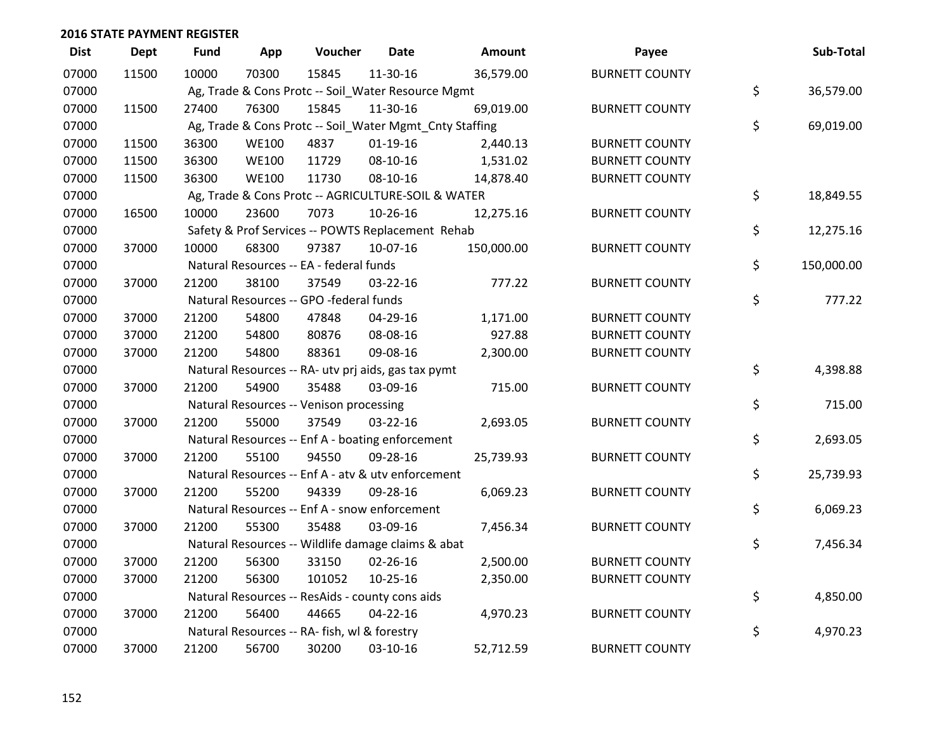| <b>Dist</b> | <b>Dept</b> | Fund  | App          | Voucher                                             | <b>Date</b> | Amount                                                  | Payee                 | Sub-Total        |
|-------------|-------------|-------|--------------|-----------------------------------------------------|-------------|---------------------------------------------------------|-----------------------|------------------|
| 07000       | 11500       | 10000 | 70300        | 15845                                               | 11-30-16    | 36,579.00                                               | <b>BURNETT COUNTY</b> |                  |
| 07000       |             |       |              | Ag, Trade & Cons Protc -- Soil_Water Resource Mgmt  |             |                                                         |                       | \$<br>36,579.00  |
| 07000       | 11500       | 27400 | 76300        | 15845                                               | 11-30-16    | 69,019.00                                               | <b>BURNETT COUNTY</b> |                  |
| 07000       |             |       |              |                                                     |             | Ag, Trade & Cons Protc -- Soil_Water Mgmt_Cnty Staffing |                       | \$<br>69,019.00  |
| 07000       | 11500       | 36300 | <b>WE100</b> | 4837                                                | $01-19-16$  | 2,440.13                                                | <b>BURNETT COUNTY</b> |                  |
| 07000       | 11500       | 36300 | <b>WE100</b> | 11729                                               | 08-10-16    | 1,531.02                                                | <b>BURNETT COUNTY</b> |                  |
| 07000       | 11500       | 36300 | <b>WE100</b> | 11730                                               | 08-10-16    | 14,878.40                                               | <b>BURNETT COUNTY</b> |                  |
| 07000       |             |       |              | Ag, Trade & Cons Protc -- AGRICULTURE-SOIL & WATER  |             |                                                         |                       | \$<br>18,849.55  |
| 07000       | 16500       | 10000 | 23600        | 7073                                                | 10-26-16    | 12,275.16                                               | <b>BURNETT COUNTY</b> |                  |
| 07000       |             |       |              | Safety & Prof Services -- POWTS Replacement Rehab   |             |                                                         |                       | \$<br>12,275.16  |
| 07000       | 37000       | 10000 | 68300        | 97387                                               | 10-07-16    | 150,000.00                                              | <b>BURNETT COUNTY</b> |                  |
| 07000       |             |       |              | Natural Resources -- EA - federal funds             |             |                                                         |                       | \$<br>150,000.00 |
| 07000       | 37000       | 21200 | 38100        | 37549                                               | 03-22-16    | 777.22                                                  | <b>BURNETT COUNTY</b> |                  |
| 07000       |             |       |              | Natural Resources -- GPO -federal funds             |             |                                                         |                       | \$<br>777.22     |
| 07000       | 37000       | 21200 | 54800        | 47848                                               | 04-29-16    | 1,171.00                                                | <b>BURNETT COUNTY</b> |                  |
| 07000       | 37000       | 21200 | 54800        | 80876                                               | 08-08-16    | 927.88                                                  | <b>BURNETT COUNTY</b> |                  |
| 07000       | 37000       | 21200 | 54800        | 88361                                               | 09-08-16    | 2,300.00                                                | <b>BURNETT COUNTY</b> |                  |
| 07000       |             |       |              | Natural Resources -- RA- utv prj aids, gas tax pymt |             |                                                         |                       | \$<br>4,398.88   |
| 07000       | 37000       | 21200 | 54900        | 35488                                               | 03-09-16    | 715.00                                                  | <b>BURNETT COUNTY</b> |                  |
| 07000       |             |       |              | Natural Resources -- Venison processing             |             |                                                         |                       | \$<br>715.00     |
| 07000       | 37000       | 21200 | 55000        | 37549                                               | 03-22-16    | 2,693.05                                                | <b>BURNETT COUNTY</b> |                  |
| 07000       |             |       |              | Natural Resources -- Enf A - boating enforcement    |             |                                                         |                       | \$<br>2,693.05   |
| 07000       | 37000       | 21200 | 55100        | 94550                                               | 09-28-16    | 25,739.93                                               | <b>BURNETT COUNTY</b> |                  |
| 07000       |             |       |              | Natural Resources -- Enf A - atv & utv enforcement  |             |                                                         |                       | \$<br>25,739.93  |
| 07000       | 37000       | 21200 | 55200        | 94339                                               | 09-28-16    | 6,069.23                                                | <b>BURNETT COUNTY</b> |                  |
| 07000       |             |       |              | Natural Resources -- Enf A - snow enforcement       |             |                                                         |                       | \$<br>6,069.23   |
| 07000       | 37000       | 21200 | 55300        | 35488                                               | 03-09-16    | 7,456.34                                                | <b>BURNETT COUNTY</b> |                  |
| 07000       |             |       |              | Natural Resources -- Wildlife damage claims & abat  |             |                                                         |                       | \$<br>7,456.34   |
| 07000       | 37000       | 21200 | 56300        | 33150                                               | 02-26-16    | 2,500.00                                                | <b>BURNETT COUNTY</b> |                  |
| 07000       | 37000       | 21200 | 56300        | 101052                                              | $10-25-16$  | 2,350.00                                                | <b>BURNETT COUNTY</b> |                  |
| 07000       |             |       |              | Natural Resources -- ResAids - county cons aids     |             |                                                         |                       | \$<br>4,850.00   |
| 07000       | 37000       | 21200 | 56400        | 44665                                               | 04-22-16    | 4,970.23                                                | <b>BURNETT COUNTY</b> |                  |
| 07000       |             |       |              | Natural Resources -- RA- fish, wl & forestry        |             |                                                         |                       | \$<br>4,970.23   |
| 07000       | 37000       | 21200 | 56700        | 30200                                               | 03-10-16    | 52,712.59                                               | <b>BURNETT COUNTY</b> |                  |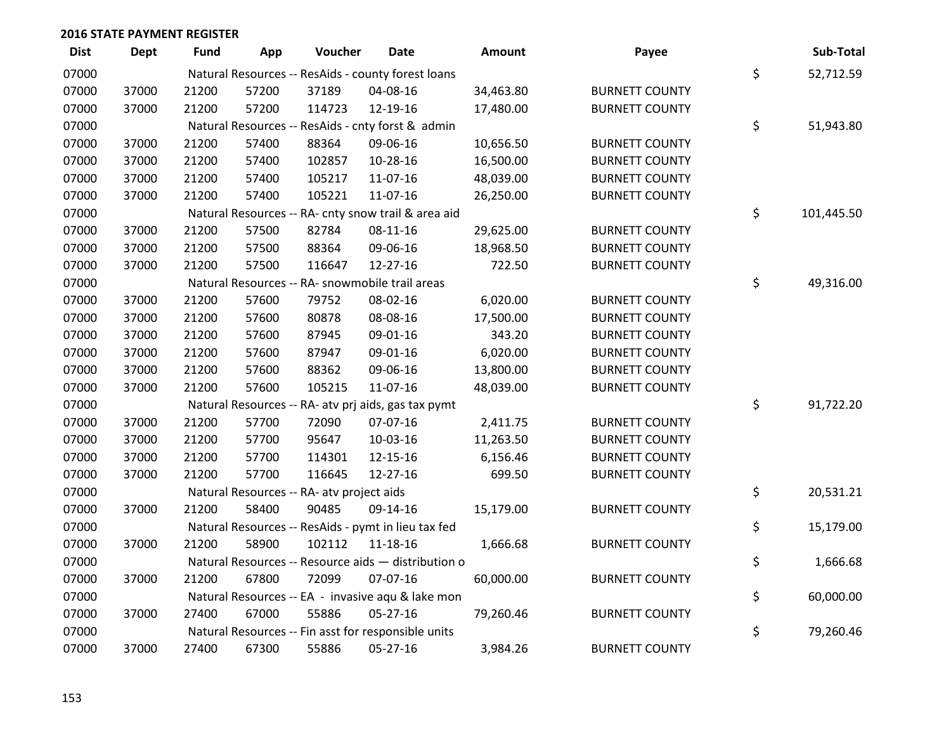| <b>Dist</b> | Dept  | <b>Fund</b> | App   | Voucher                                   | <b>Date</b>                                         | <b>Amount</b> | Payee                 | Sub-Total        |
|-------------|-------|-------------|-------|-------------------------------------------|-----------------------------------------------------|---------------|-----------------------|------------------|
| 07000       |       |             |       |                                           | Natural Resources -- ResAids - county forest loans  |               |                       | \$<br>52,712.59  |
| 07000       | 37000 | 21200       | 57200 | 37189                                     | 04-08-16                                            | 34,463.80     | <b>BURNETT COUNTY</b> |                  |
| 07000       | 37000 | 21200       | 57200 | 114723                                    | 12-19-16                                            | 17,480.00     | <b>BURNETT COUNTY</b> |                  |
| 07000       |       |             |       |                                           | Natural Resources -- ResAids - cnty forst & admin   |               |                       | \$<br>51,943.80  |
| 07000       | 37000 | 21200       | 57400 | 88364                                     | 09-06-16                                            | 10,656.50     | <b>BURNETT COUNTY</b> |                  |
| 07000       | 37000 | 21200       | 57400 | 102857                                    | 10-28-16                                            | 16,500.00     | <b>BURNETT COUNTY</b> |                  |
| 07000       | 37000 | 21200       | 57400 | 105217                                    | 11-07-16                                            | 48,039.00     | <b>BURNETT COUNTY</b> |                  |
| 07000       | 37000 | 21200       | 57400 | 105221                                    | 11-07-16                                            | 26,250.00     | <b>BURNETT COUNTY</b> |                  |
| 07000       |       |             |       |                                           | Natural Resources -- RA- cnty snow trail & area aid |               |                       | \$<br>101,445.50 |
| 07000       | 37000 | 21200       | 57500 | 82784                                     | 08-11-16                                            | 29,625.00     | <b>BURNETT COUNTY</b> |                  |
| 07000       | 37000 | 21200       | 57500 | 88364                                     | 09-06-16                                            | 18,968.50     | <b>BURNETT COUNTY</b> |                  |
| 07000       | 37000 | 21200       | 57500 | 116647                                    | $12 - 27 - 16$                                      | 722.50        | <b>BURNETT COUNTY</b> |                  |
| 07000       |       |             |       |                                           | Natural Resources -- RA- snowmobile trail areas     |               |                       | \$<br>49,316.00  |
| 07000       | 37000 | 21200       | 57600 | 79752                                     | 08-02-16                                            | 6,020.00      | <b>BURNETT COUNTY</b> |                  |
| 07000       | 37000 | 21200       | 57600 | 80878                                     | 08-08-16                                            | 17,500.00     | <b>BURNETT COUNTY</b> |                  |
| 07000       | 37000 | 21200       | 57600 | 87945                                     | 09-01-16                                            | 343.20        | <b>BURNETT COUNTY</b> |                  |
| 07000       | 37000 | 21200       | 57600 | 87947                                     | 09-01-16                                            | 6,020.00      | <b>BURNETT COUNTY</b> |                  |
| 07000       | 37000 | 21200       | 57600 | 88362                                     | 09-06-16                                            | 13,800.00     | <b>BURNETT COUNTY</b> |                  |
| 07000       | 37000 | 21200       | 57600 | 105215                                    | 11-07-16                                            | 48,039.00     | <b>BURNETT COUNTY</b> |                  |
| 07000       |       |             |       |                                           | Natural Resources -- RA- atv prj aids, gas tax pymt |               |                       | \$<br>91,722.20  |
| 07000       | 37000 | 21200       | 57700 | 72090                                     | 07-07-16                                            | 2,411.75      | <b>BURNETT COUNTY</b> |                  |
| 07000       | 37000 | 21200       | 57700 | 95647                                     | 10-03-16                                            | 11,263.50     | <b>BURNETT COUNTY</b> |                  |
| 07000       | 37000 | 21200       | 57700 | 114301                                    | 12-15-16                                            | 6,156.46      | <b>BURNETT COUNTY</b> |                  |
| 07000       | 37000 | 21200       | 57700 | 116645                                    | $12 - 27 - 16$                                      | 699.50        | <b>BURNETT COUNTY</b> |                  |
| 07000       |       |             |       | Natural Resources -- RA- atv project aids |                                                     |               |                       | \$<br>20,531.21  |
| 07000       | 37000 | 21200       | 58400 | 90485                                     | 09-14-16                                            | 15,179.00     | <b>BURNETT COUNTY</b> |                  |
| 07000       |       |             |       |                                           | Natural Resources -- ResAids - pymt in lieu tax fed |               |                       | \$<br>15,179.00  |
| 07000       | 37000 | 21200       | 58900 | 102112                                    | 11-18-16                                            | 1,666.68      | <b>BURNETT COUNTY</b> |                  |
| 07000       |       |             |       |                                           | Natural Resources -- Resource aids - distribution o |               |                       | \$<br>1,666.68   |
| 07000       | 37000 | 21200       | 67800 | 72099                                     | 07-07-16                                            | 60,000.00     | <b>BURNETT COUNTY</b> |                  |
| 07000       |       |             |       |                                           | Natural Resources -- EA - invasive agu & lake mon   |               |                       | \$<br>60,000.00  |
| 07000       | 37000 | 27400       | 67000 | 55886                                     | $05 - 27 - 16$                                      | 79,260.46     | <b>BURNETT COUNTY</b> |                  |
| 07000       |       |             |       |                                           | Natural Resources -- Fin asst for responsible units |               |                       | \$<br>79,260.46  |
| 07000       | 37000 | 27400       | 67300 | 55886                                     | 05-27-16                                            | 3,984.26      | <b>BURNETT COUNTY</b> |                  |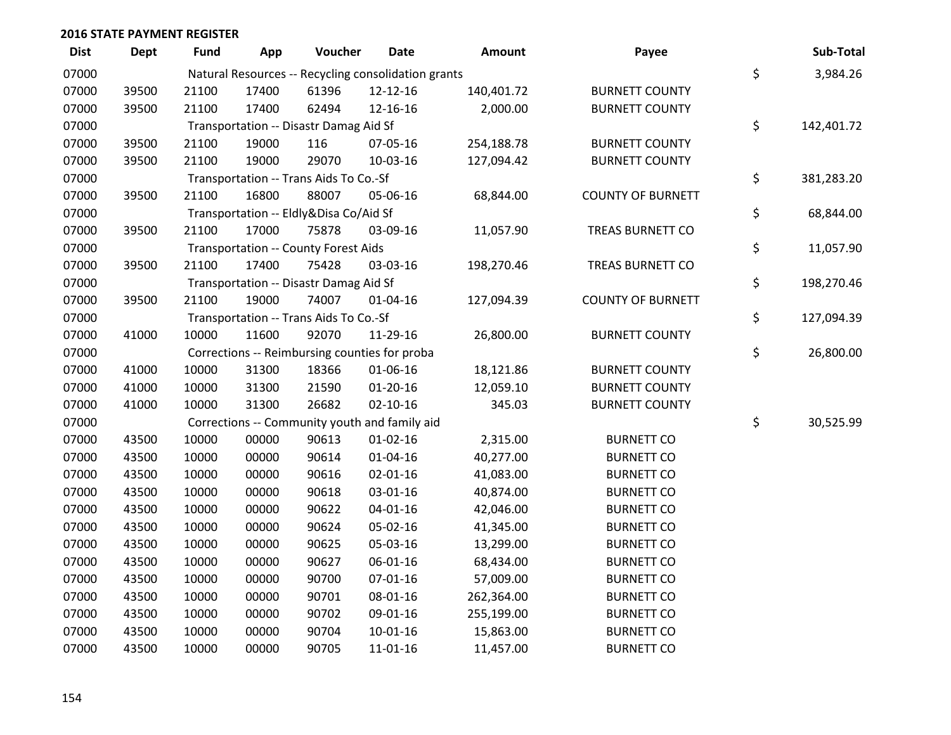| <b>Dist</b> | <b>Dept</b> | Fund  | App   | Voucher                                             | Date           | Amount     | Payee                    | Sub-Total        |
|-------------|-------------|-------|-------|-----------------------------------------------------|----------------|------------|--------------------------|------------------|
| 07000       |             |       |       | Natural Resources -- Recycling consolidation grants |                |            |                          | \$<br>3,984.26   |
| 07000       | 39500       | 21100 | 17400 | 61396                                               | 12-12-16       | 140,401.72 | <b>BURNETT COUNTY</b>    |                  |
| 07000       | 39500       | 21100 | 17400 | 62494                                               | 12-16-16       | 2,000.00   | <b>BURNETT COUNTY</b>    |                  |
| 07000       |             |       |       | Transportation -- Disastr Damag Aid Sf              |                |            |                          | \$<br>142,401.72 |
| 07000       | 39500       | 21100 | 19000 | 116                                                 | 07-05-16       | 254,188.78 | <b>BURNETT COUNTY</b>    |                  |
| 07000       | 39500       | 21100 | 19000 | 29070                                               | 10-03-16       | 127,094.42 | <b>BURNETT COUNTY</b>    |                  |
| 07000       |             |       |       | Transportation -- Trans Aids To Co.-Sf              |                |            |                          | \$<br>381,283.20 |
| 07000       | 39500       | 21100 | 16800 | 88007                                               | 05-06-16       | 68,844.00  | <b>COUNTY OF BURNETT</b> |                  |
| 07000       |             |       |       | Transportation -- Eldly&Disa Co/Aid Sf              |                |            |                          | \$<br>68,844.00  |
| 07000       | 39500       | 21100 | 17000 | 75878                                               | 03-09-16       | 11,057.90  | TREAS BURNETT CO         |                  |
| 07000       |             |       |       | Transportation -- County Forest Aids                |                |            |                          | \$<br>11,057.90  |
| 07000       | 39500       | 21100 | 17400 | 75428                                               | 03-03-16       | 198,270.46 | TREAS BURNETT CO         |                  |
| 07000       |             |       |       | Transportation -- Disastr Damag Aid Sf              |                |            |                          | \$<br>198,270.46 |
| 07000       | 39500       | 21100 | 19000 | 74007                                               | 01-04-16       | 127,094.39 | <b>COUNTY OF BURNETT</b> |                  |
| 07000       |             |       |       | Transportation -- Trans Aids To Co.-Sf              |                |            |                          | \$<br>127,094.39 |
| 07000       | 41000       | 10000 | 11600 | 92070                                               | 11-29-16       | 26,800.00  | <b>BURNETT COUNTY</b>    |                  |
| 07000       |             |       |       | Corrections -- Reimbursing counties for proba       |                |            |                          | \$<br>26,800.00  |
| 07000       | 41000       | 10000 | 31300 | 18366                                               | 01-06-16       | 18,121.86  | <b>BURNETT COUNTY</b>    |                  |
| 07000       | 41000       | 10000 | 31300 | 21590                                               | $01 - 20 - 16$ | 12,059.10  | <b>BURNETT COUNTY</b>    |                  |
| 07000       | 41000       | 10000 | 31300 | 26682                                               | $02 - 10 - 16$ | 345.03     | <b>BURNETT COUNTY</b>    |                  |
| 07000       |             |       |       | Corrections -- Community youth and family aid       |                |            |                          | \$<br>30,525.99  |
| 07000       | 43500       | 10000 | 00000 | 90613                                               | $01 - 02 - 16$ | 2,315.00   | <b>BURNETT CO</b>        |                  |
| 07000       | 43500       | 10000 | 00000 | 90614                                               | $01 - 04 - 16$ | 40,277.00  | <b>BURNETT CO</b>        |                  |
| 07000       | 43500       | 10000 | 00000 | 90616                                               | $02 - 01 - 16$ | 41,083.00  | <b>BURNETT CO</b>        |                  |
| 07000       | 43500       | 10000 | 00000 | 90618                                               | 03-01-16       | 40,874.00  | <b>BURNETT CO</b>        |                  |
| 07000       | 43500       | 10000 | 00000 | 90622                                               | 04-01-16       | 42,046.00  | <b>BURNETT CO</b>        |                  |
| 07000       | 43500       | 10000 | 00000 | 90624                                               | 05-02-16       | 41,345.00  | <b>BURNETT CO</b>        |                  |
| 07000       | 43500       | 10000 | 00000 | 90625                                               | 05-03-16       | 13,299.00  | <b>BURNETT CO</b>        |                  |
| 07000       | 43500       | 10000 | 00000 | 90627                                               | 06-01-16       | 68,434.00  | <b>BURNETT CO</b>        |                  |
| 07000       | 43500       | 10000 | 00000 | 90700                                               | $07 - 01 - 16$ | 57,009.00  | <b>BURNETT CO</b>        |                  |
| 07000       | 43500       | 10000 | 00000 | 90701                                               | 08-01-16       | 262,364.00 | <b>BURNETT CO</b>        |                  |
| 07000       | 43500       | 10000 | 00000 | 90702                                               | 09-01-16       | 255,199.00 | <b>BURNETT CO</b>        |                  |
| 07000       | 43500       | 10000 | 00000 | 90704                                               | $10-01-16$     | 15,863.00  | <b>BURNETT CO</b>        |                  |
| 07000       | 43500       | 10000 | 00000 | 90705                                               | 11-01-16       | 11,457.00  | <b>BURNETT CO</b>        |                  |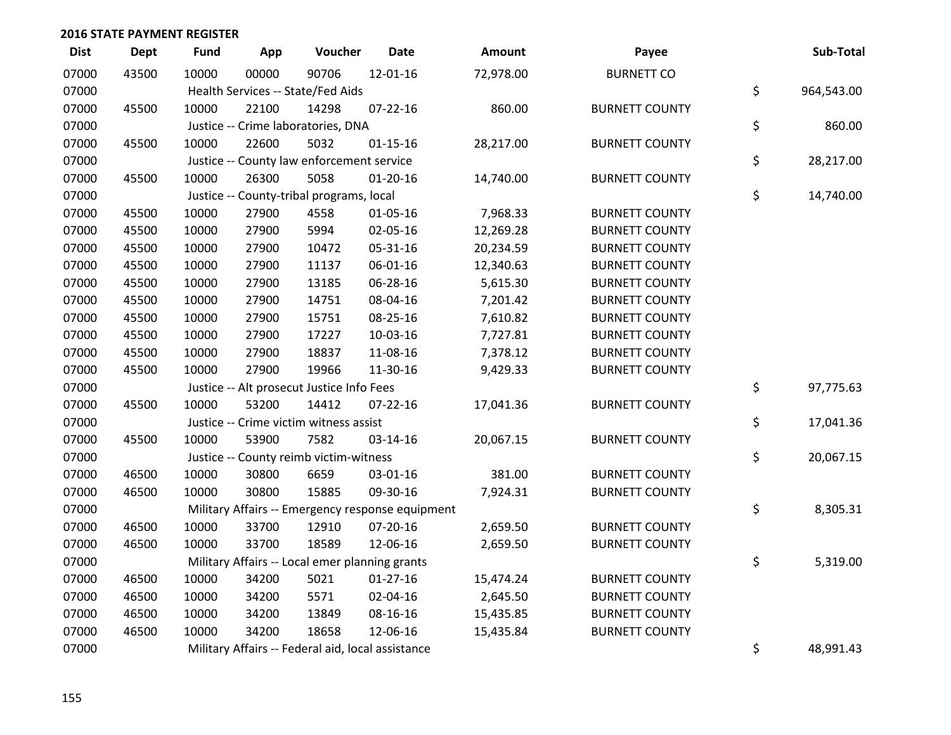| <b>Dist</b> | <b>Dept</b> | <b>Fund</b> | App   | Voucher                                           | <b>Date</b>                                      | Amount    | Payee                 | Sub-Total        |
|-------------|-------------|-------------|-------|---------------------------------------------------|--------------------------------------------------|-----------|-----------------------|------------------|
| 07000       | 43500       | 10000       | 00000 | 90706                                             | 12-01-16                                         | 72,978.00 | <b>BURNETT CO</b>     |                  |
| 07000       |             |             |       | Health Services -- State/Fed Aids                 |                                                  |           |                       | \$<br>964,543.00 |
| 07000       | 45500       | 10000       | 22100 | 14298                                             | $07 - 22 - 16$                                   | 860.00    | <b>BURNETT COUNTY</b> |                  |
| 07000       |             |             |       | Justice -- Crime laboratories, DNA                |                                                  |           |                       | \$<br>860.00     |
| 07000       | 45500       | 10000       | 22600 | 5032                                              | $01 - 15 - 16$                                   | 28,217.00 | <b>BURNETT COUNTY</b> |                  |
| 07000       |             |             |       | Justice -- County law enforcement service         |                                                  |           |                       | \$<br>28,217.00  |
| 07000       | 45500       | 10000       | 26300 | 5058                                              | $01-20-16$                                       | 14,740.00 | <b>BURNETT COUNTY</b> |                  |
| 07000       |             |             |       | Justice -- County-tribal programs, local          |                                                  |           |                       | \$<br>14,740.00  |
| 07000       | 45500       | 10000       | 27900 | 4558                                              | $01 - 05 - 16$                                   | 7,968.33  | <b>BURNETT COUNTY</b> |                  |
| 07000       | 45500       | 10000       | 27900 | 5994                                              | 02-05-16                                         | 12,269.28 | <b>BURNETT COUNTY</b> |                  |
| 07000       | 45500       | 10000       | 27900 | 10472                                             | 05-31-16                                         | 20,234.59 | <b>BURNETT COUNTY</b> |                  |
| 07000       | 45500       | 10000       | 27900 | 11137                                             | 06-01-16                                         | 12,340.63 | <b>BURNETT COUNTY</b> |                  |
| 07000       | 45500       | 10000       | 27900 | 13185                                             | 06-28-16                                         | 5,615.30  | <b>BURNETT COUNTY</b> |                  |
| 07000       | 45500       | 10000       | 27900 | 14751                                             | 08-04-16                                         | 7,201.42  | <b>BURNETT COUNTY</b> |                  |
| 07000       | 45500       | 10000       | 27900 | 15751                                             | 08-25-16                                         | 7,610.82  | <b>BURNETT COUNTY</b> |                  |
| 07000       | 45500       | 10000       | 27900 | 17227                                             | 10-03-16                                         | 7,727.81  | <b>BURNETT COUNTY</b> |                  |
| 07000       | 45500       | 10000       | 27900 | 18837                                             | 11-08-16                                         | 7,378.12  | <b>BURNETT COUNTY</b> |                  |
| 07000       | 45500       | 10000       | 27900 | 19966                                             | 11-30-16                                         | 9,429.33  | <b>BURNETT COUNTY</b> |                  |
| 07000       |             |             |       | Justice -- Alt prosecut Justice Info Fees         |                                                  |           |                       | \$<br>97,775.63  |
| 07000       | 45500       | 10000       | 53200 | 14412                                             | $07 - 22 - 16$                                   | 17,041.36 | <b>BURNETT COUNTY</b> |                  |
| 07000       |             |             |       | Justice -- Crime victim witness assist            |                                                  |           |                       | \$<br>17,041.36  |
| 07000       | 45500       | 10000       | 53900 | 7582                                              | 03-14-16                                         | 20,067.15 | <b>BURNETT COUNTY</b> |                  |
| 07000       |             |             |       | Justice -- County reimb victim-witness            |                                                  |           |                       | \$<br>20,067.15  |
| 07000       | 46500       | 10000       | 30800 | 6659                                              | 03-01-16                                         | 381.00    | <b>BURNETT COUNTY</b> |                  |
| 07000       | 46500       | 10000       | 30800 | 15885                                             | 09-30-16                                         | 7,924.31  | <b>BURNETT COUNTY</b> |                  |
| 07000       |             |             |       |                                                   | Military Affairs -- Emergency response equipment |           |                       | \$<br>8,305.31   |
| 07000       | 46500       | 10000       | 33700 | 12910                                             | 07-20-16                                         | 2,659.50  | <b>BURNETT COUNTY</b> |                  |
| 07000       | 46500       | 10000       | 33700 | 18589                                             | 12-06-16                                         | 2,659.50  | <b>BURNETT COUNTY</b> |                  |
| 07000       |             |             |       | Military Affairs -- Local emer planning grants    |                                                  |           |                       | \$<br>5,319.00   |
| 07000       | 46500       | 10000       | 34200 | 5021                                              | $01-27-16$                                       | 15,474.24 | <b>BURNETT COUNTY</b> |                  |
| 07000       | 46500       | 10000       | 34200 | 5571                                              | 02-04-16                                         | 2,645.50  | <b>BURNETT COUNTY</b> |                  |
| 07000       | 46500       | 10000       | 34200 | 13849                                             | 08-16-16                                         | 15,435.85 | <b>BURNETT COUNTY</b> |                  |
| 07000       | 46500       | 10000       | 34200 | 18658                                             | 12-06-16                                         | 15,435.84 | <b>BURNETT COUNTY</b> |                  |
| 07000       |             |             |       | Military Affairs -- Federal aid, local assistance |                                                  |           |                       | \$<br>48,991.43  |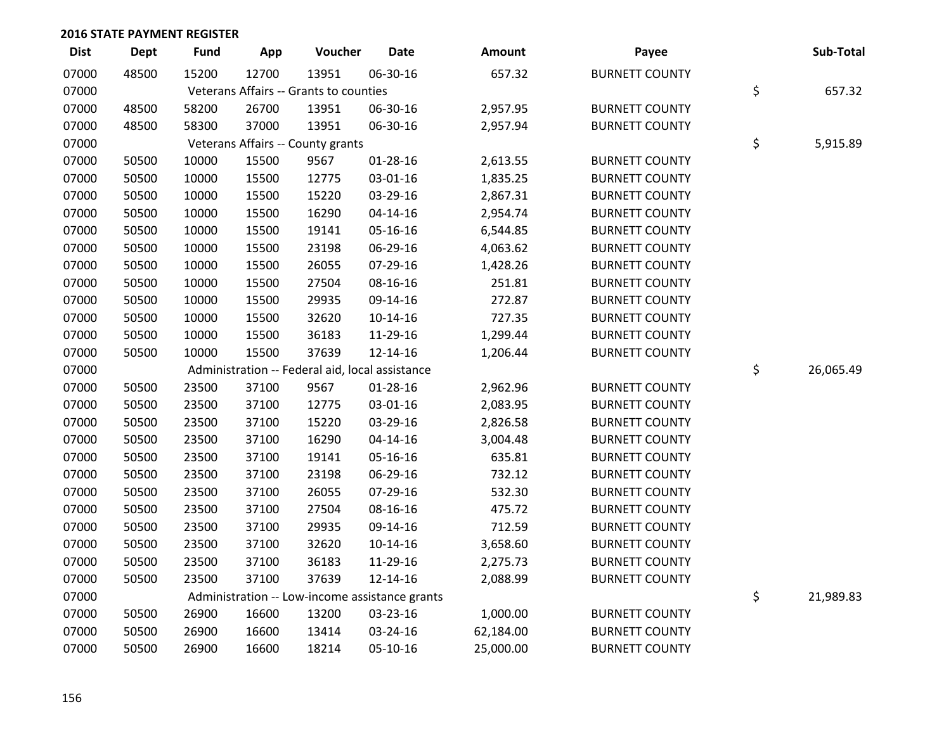| <b>Dist</b> | Dept  | <b>Fund</b> | App   | Voucher                                         | <b>Date</b>                                    | <b>Amount</b> | Payee                 | Sub-Total       |
|-------------|-------|-------------|-------|-------------------------------------------------|------------------------------------------------|---------------|-----------------------|-----------------|
| 07000       | 48500 | 15200       | 12700 | 13951                                           | 06-30-16                                       | 657.32        | <b>BURNETT COUNTY</b> |                 |
| 07000       |       |             |       | Veterans Affairs -- Grants to counties          |                                                |               |                       | \$<br>657.32    |
| 07000       | 48500 | 58200       | 26700 | 13951                                           | 06-30-16                                       | 2,957.95      | <b>BURNETT COUNTY</b> |                 |
| 07000       | 48500 | 58300       | 37000 | 13951                                           | 06-30-16                                       | 2,957.94      | <b>BURNETT COUNTY</b> |                 |
| 07000       |       |             |       | Veterans Affairs -- County grants               |                                                |               |                       | \$<br>5,915.89  |
| 07000       | 50500 | 10000       | 15500 | 9567                                            | 01-28-16                                       | 2,613.55      | <b>BURNETT COUNTY</b> |                 |
| 07000       | 50500 | 10000       | 15500 | 12775                                           | 03-01-16                                       | 1,835.25      | <b>BURNETT COUNTY</b> |                 |
| 07000       | 50500 | 10000       | 15500 | 15220                                           | 03-29-16                                       | 2,867.31      | <b>BURNETT COUNTY</b> |                 |
| 07000       | 50500 | 10000       | 15500 | 16290                                           | $04 - 14 - 16$                                 | 2,954.74      | <b>BURNETT COUNTY</b> |                 |
| 07000       | 50500 | 10000       | 15500 | 19141                                           | 05-16-16                                       | 6,544.85      | <b>BURNETT COUNTY</b> |                 |
| 07000       | 50500 | 10000       | 15500 | 23198                                           | 06-29-16                                       | 4,063.62      | <b>BURNETT COUNTY</b> |                 |
| 07000       | 50500 | 10000       | 15500 | 26055                                           | 07-29-16                                       | 1,428.26      | <b>BURNETT COUNTY</b> |                 |
| 07000       | 50500 | 10000       | 15500 | 27504                                           | 08-16-16                                       | 251.81        | <b>BURNETT COUNTY</b> |                 |
| 07000       | 50500 | 10000       | 15500 | 29935                                           | 09-14-16                                       | 272.87        | <b>BURNETT COUNTY</b> |                 |
| 07000       | 50500 | 10000       | 15500 | 32620                                           | $10-14-16$                                     | 727.35        | <b>BURNETT COUNTY</b> |                 |
| 07000       | 50500 | 10000       | 15500 | 36183                                           | 11-29-16                                       | 1,299.44      | <b>BURNETT COUNTY</b> |                 |
| 07000       | 50500 | 10000       | 15500 | 37639                                           | 12-14-16                                       | 1,206.44      | <b>BURNETT COUNTY</b> |                 |
| 07000       |       |             |       | Administration -- Federal aid, local assistance |                                                |               |                       | \$<br>26,065.49 |
| 07000       | 50500 | 23500       | 37100 | 9567                                            | $01 - 28 - 16$                                 | 2,962.96      | <b>BURNETT COUNTY</b> |                 |
| 07000       | 50500 | 23500       | 37100 | 12775                                           | 03-01-16                                       | 2,083.95      | <b>BURNETT COUNTY</b> |                 |
| 07000       | 50500 | 23500       | 37100 | 15220                                           | 03-29-16                                       | 2,826.58      | <b>BURNETT COUNTY</b> |                 |
| 07000       | 50500 | 23500       | 37100 | 16290                                           | $04 - 14 - 16$                                 | 3,004.48      | <b>BURNETT COUNTY</b> |                 |
| 07000       | 50500 | 23500       | 37100 | 19141                                           | 05-16-16                                       | 635.81        | <b>BURNETT COUNTY</b> |                 |
| 07000       | 50500 | 23500       | 37100 | 23198                                           | 06-29-16                                       | 732.12        | <b>BURNETT COUNTY</b> |                 |
| 07000       | 50500 | 23500       | 37100 | 26055                                           | 07-29-16                                       | 532.30        | <b>BURNETT COUNTY</b> |                 |
| 07000       | 50500 | 23500       | 37100 | 27504                                           | 08-16-16                                       | 475.72        | <b>BURNETT COUNTY</b> |                 |
| 07000       | 50500 | 23500       | 37100 | 29935                                           | 09-14-16                                       | 712.59        | <b>BURNETT COUNTY</b> |                 |
| 07000       | 50500 | 23500       | 37100 | 32620                                           | $10-14-16$                                     | 3,658.60      | <b>BURNETT COUNTY</b> |                 |
| 07000       | 50500 | 23500       | 37100 | 36183                                           | 11-29-16                                       | 2,275.73      | <b>BURNETT COUNTY</b> |                 |
| 07000       | 50500 | 23500       | 37100 | 37639                                           | 12-14-16                                       | 2,088.99      | <b>BURNETT COUNTY</b> |                 |
| 07000       |       |             |       |                                                 | Administration -- Low-income assistance grants |               |                       | \$<br>21,989.83 |
| 07000       | 50500 | 26900       | 16600 | 13200                                           | 03-23-16                                       | 1,000.00      | <b>BURNETT COUNTY</b> |                 |
| 07000       | 50500 | 26900       | 16600 | 13414                                           | 03-24-16                                       | 62,184.00     | <b>BURNETT COUNTY</b> |                 |
| 07000       | 50500 | 26900       | 16600 | 18214                                           | 05-10-16                                       | 25,000.00     | <b>BURNETT COUNTY</b> |                 |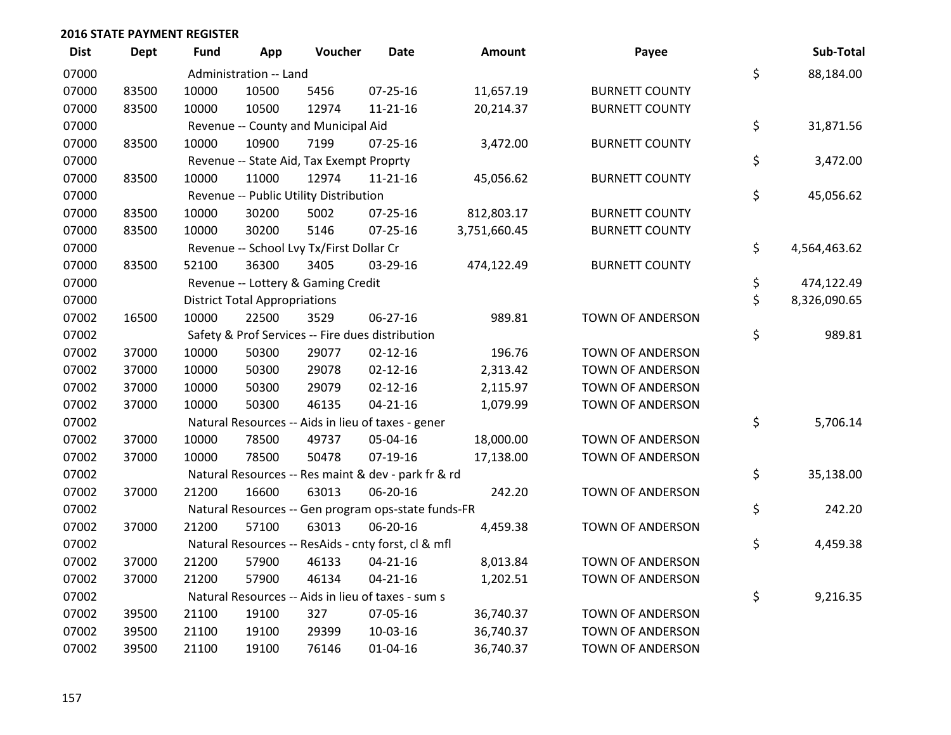| <b>Dist</b> | Dept  | Fund  | App                                  | Voucher                                  | Date                                                | <b>Amount</b> | Payee                   | Sub-Total          |
|-------------|-------|-------|--------------------------------------|------------------------------------------|-----------------------------------------------------|---------------|-------------------------|--------------------|
| 07000       |       |       | Administration -- Land               |                                          |                                                     |               |                         | \$<br>88,184.00    |
| 07000       | 83500 | 10000 | 10500                                | 5456                                     | $07 - 25 - 16$                                      | 11,657.19     | <b>BURNETT COUNTY</b>   |                    |
| 07000       | 83500 | 10000 | 10500                                | 12974                                    | $11 - 21 - 16$                                      | 20,214.37     | <b>BURNETT COUNTY</b>   |                    |
| 07000       |       |       |                                      | Revenue -- County and Municipal Aid      |                                                     |               |                         | \$<br>31,871.56    |
| 07000       | 83500 | 10000 | 10900                                | 7199                                     | $07 - 25 - 16$                                      | 3,472.00      | <b>BURNETT COUNTY</b>   |                    |
| 07000       |       |       |                                      | Revenue -- State Aid, Tax Exempt Proprty |                                                     |               |                         | \$<br>3,472.00     |
| 07000       | 83500 | 10000 | 11000                                | 12974                                    | $11 - 21 - 16$                                      | 45,056.62     | <b>BURNETT COUNTY</b>   |                    |
| 07000       |       |       |                                      | Revenue -- Public Utility Distribution   |                                                     |               |                         | \$<br>45,056.62    |
| 07000       | 83500 | 10000 | 30200                                | 5002                                     | $07 - 25 - 16$                                      | 812,803.17    | <b>BURNETT COUNTY</b>   |                    |
| 07000       | 83500 | 10000 | 30200                                | 5146                                     | $07 - 25 - 16$                                      | 3,751,660.45  | <b>BURNETT COUNTY</b>   |                    |
| 07000       |       |       |                                      | Revenue -- School Lvy Tx/First Dollar Cr |                                                     |               |                         | \$<br>4,564,463.62 |
| 07000       | 83500 | 52100 | 36300                                | 3405                                     | 03-29-16                                            | 474,122.49    | <b>BURNETT COUNTY</b>   |                    |
| 07000       |       |       |                                      | Revenue -- Lottery & Gaming Credit       |                                                     |               |                         | \$<br>474,122.49   |
| 07000       |       |       | <b>District Total Appropriations</b> |                                          |                                                     |               |                         | \$<br>8,326,090.65 |
| 07002       | 16500 | 10000 | 22500                                | 3529                                     | 06-27-16                                            | 989.81        | TOWN OF ANDERSON        |                    |
| 07002       |       |       |                                      |                                          | Safety & Prof Services -- Fire dues distribution    |               |                         | \$<br>989.81       |
| 07002       | 37000 | 10000 | 50300                                | 29077                                    | $02 - 12 - 16$                                      | 196.76        | <b>TOWN OF ANDERSON</b> |                    |
| 07002       | 37000 | 10000 | 50300                                | 29078                                    | $02 - 12 - 16$                                      | 2,313.42      | <b>TOWN OF ANDERSON</b> |                    |
| 07002       | 37000 | 10000 | 50300                                | 29079                                    | $02 - 12 - 16$                                      | 2,115.97      | <b>TOWN OF ANDERSON</b> |                    |
| 07002       | 37000 | 10000 | 50300                                | 46135                                    | $04 - 21 - 16$                                      | 1,079.99      | TOWN OF ANDERSON        |                    |
| 07002       |       |       |                                      |                                          | Natural Resources -- Aids in lieu of taxes - gener  |               |                         | \$<br>5,706.14     |
| 07002       | 37000 | 10000 | 78500                                | 49737                                    | 05-04-16                                            | 18,000.00     | TOWN OF ANDERSON        |                    |
| 07002       | 37000 | 10000 | 78500                                | 50478                                    | $07-19-16$                                          | 17,138.00     | TOWN OF ANDERSON        |                    |
| 07002       |       |       |                                      |                                          | Natural Resources -- Res maint & dev - park fr & rd |               |                         | \$<br>35,138.00    |
| 07002       | 37000 | 21200 | 16600                                | 63013                                    | 06-20-16                                            | 242.20        | TOWN OF ANDERSON        |                    |
| 07002       |       |       |                                      |                                          | Natural Resources -- Gen program ops-state funds-FR |               |                         | \$<br>242.20       |
| 07002       | 37000 | 21200 | 57100                                | 63013                                    | 06-20-16                                            | 4,459.38      | TOWN OF ANDERSON        |                    |
| 07002       |       |       |                                      |                                          | Natural Resources -- ResAids - cnty forst, cl & mfl |               |                         | \$<br>4,459.38     |
| 07002       | 37000 | 21200 | 57900                                | 46133                                    | $04 - 21 - 16$                                      | 8,013.84      | <b>TOWN OF ANDERSON</b> |                    |
| 07002       | 37000 | 21200 | 57900                                | 46134                                    | $04 - 21 - 16$                                      | 1,202.51      | TOWN OF ANDERSON        |                    |
| 07002       |       |       |                                      |                                          | Natural Resources -- Aids in lieu of taxes - sum s  |               |                         | \$<br>9,216.35     |
| 07002       | 39500 | 21100 | 19100                                | 327                                      | 07-05-16                                            | 36,740.37     | TOWN OF ANDERSON        |                    |
| 07002       | 39500 | 21100 | 19100                                | 29399                                    | 10-03-16                                            | 36,740.37     | TOWN OF ANDERSON        |                    |
| 07002       | 39500 | 21100 | 19100                                | 76146                                    | $01 - 04 - 16$                                      | 36,740.37     | <b>TOWN OF ANDERSON</b> |                    |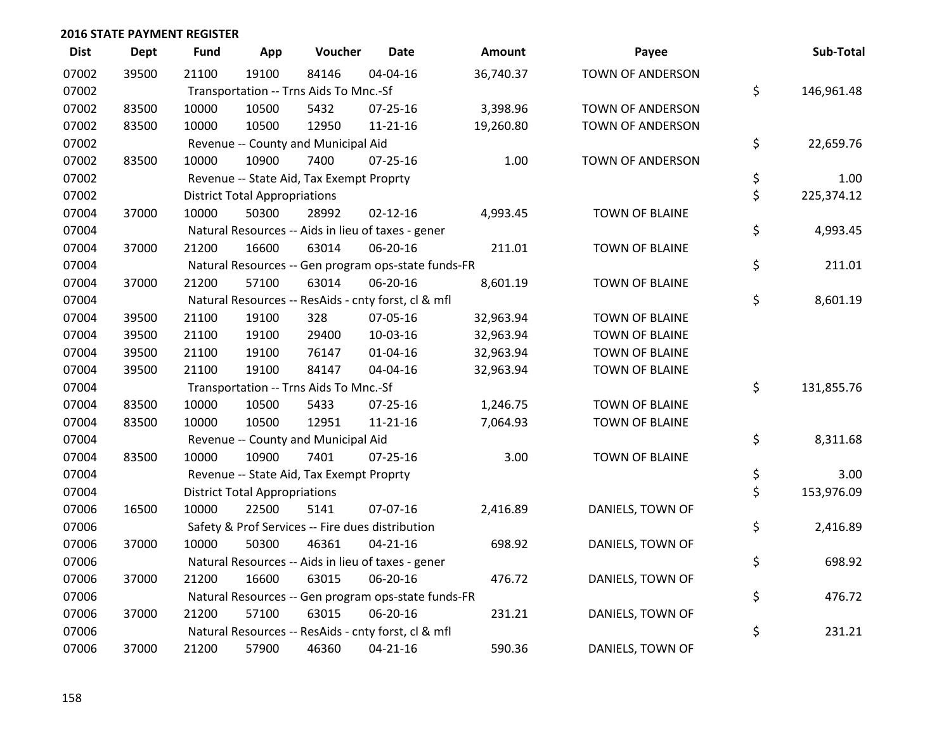| <b>Dist</b> | Dept  | <b>Fund</b> | App                                  | Voucher                                             | <b>Date</b>    | <b>Amount</b> | Payee                   | Sub-Total        |
|-------------|-------|-------------|--------------------------------------|-----------------------------------------------------|----------------|---------------|-------------------------|------------------|
| 07002       | 39500 | 21100       | 19100                                | 84146                                               | 04-04-16       | 36,740.37     | <b>TOWN OF ANDERSON</b> |                  |
| 07002       |       |             |                                      | Transportation -- Trns Aids To Mnc.-Sf              |                |               |                         | \$<br>146,961.48 |
| 07002       | 83500 | 10000       | 10500                                | 5432                                                | 07-25-16       | 3,398.96      | TOWN OF ANDERSON        |                  |
| 07002       | 83500 | 10000       | 10500                                | 12950                                               | $11 - 21 - 16$ | 19,260.80     | <b>TOWN OF ANDERSON</b> |                  |
| 07002       |       |             |                                      | Revenue -- County and Municipal Aid                 |                |               |                         | \$<br>22,659.76  |
| 07002       | 83500 | 10000       | 10900                                | 7400                                                | 07-25-16       | 1.00          | TOWN OF ANDERSON        |                  |
| 07002       |       |             |                                      | Revenue -- State Aid, Tax Exempt Proprty            |                |               |                         | \$<br>1.00       |
| 07002       |       |             | <b>District Total Appropriations</b> |                                                     |                |               |                         | \$<br>225,374.12 |
| 07004       | 37000 | 10000       | 50300                                | 28992                                               | $02 - 12 - 16$ | 4,993.45      | TOWN OF BLAINE          |                  |
| 07004       |       |             |                                      | Natural Resources -- Aids in lieu of taxes - gener  |                |               |                         | \$<br>4,993.45   |
| 07004       | 37000 | 21200       | 16600                                | 63014                                               | 06-20-16       | 211.01        | <b>TOWN OF BLAINE</b>   |                  |
| 07004       |       |             |                                      | Natural Resources -- Gen program ops-state funds-FR |                |               |                         | \$<br>211.01     |
| 07004       | 37000 | 21200       | 57100                                | 63014                                               | 06-20-16       | 8,601.19      | <b>TOWN OF BLAINE</b>   |                  |
| 07004       |       |             |                                      | Natural Resources -- ResAids - cnty forst, cl & mfl |                |               |                         | \$<br>8,601.19   |
| 07004       | 39500 | 21100       | 19100                                | 328                                                 | 07-05-16       | 32,963.94     | <b>TOWN OF BLAINE</b>   |                  |
| 07004       | 39500 | 21100       | 19100                                | 29400                                               | 10-03-16       | 32,963.94     | <b>TOWN OF BLAINE</b>   |                  |
| 07004       | 39500 | 21100       | 19100                                | 76147                                               | 01-04-16       | 32,963.94     | <b>TOWN OF BLAINE</b>   |                  |
| 07004       | 39500 | 21100       | 19100                                | 84147                                               | 04-04-16       | 32,963.94     | <b>TOWN OF BLAINE</b>   |                  |
| 07004       |       |             |                                      | Transportation -- Trns Aids To Mnc.-Sf              |                |               |                         | \$<br>131,855.76 |
| 07004       | 83500 | 10000       | 10500                                | 5433                                                | $07 - 25 - 16$ | 1,246.75      | <b>TOWN OF BLAINE</b>   |                  |
| 07004       | 83500 | 10000       | 10500                                | 12951                                               | $11 - 21 - 16$ | 7,064.93      | <b>TOWN OF BLAINE</b>   |                  |
| 07004       |       |             |                                      | Revenue -- County and Municipal Aid                 |                |               |                         | \$<br>8,311.68   |
| 07004       | 83500 | 10000       | 10900                                | 7401                                                | $07 - 25 - 16$ | 3.00          | TOWN OF BLAINE          |                  |
| 07004       |       |             |                                      | Revenue -- State Aid, Tax Exempt Proprty            |                |               |                         | \$<br>3.00       |
| 07004       |       |             | <b>District Total Appropriations</b> |                                                     |                |               |                         | \$<br>153,976.09 |
| 07006       | 16500 | 10000       | 22500                                | 5141                                                | 07-07-16       | 2,416.89      | DANIELS, TOWN OF        |                  |
| 07006       |       |             |                                      | Safety & Prof Services -- Fire dues distribution    |                |               |                         | \$<br>2,416.89   |
| 07006       | 37000 | 10000       | 50300                                | 46361                                               | $04 - 21 - 16$ | 698.92        | DANIELS, TOWN OF        |                  |
| 07006       |       |             |                                      | Natural Resources -- Aids in lieu of taxes - gener  |                |               |                         | \$<br>698.92     |
| 07006       | 37000 | 21200       | 16600                                | 63015                                               | 06-20-16       | 476.72        | DANIELS, TOWN OF        |                  |
| 07006       |       |             |                                      | Natural Resources -- Gen program ops-state funds-FR |                |               |                         | \$<br>476.72     |
| 07006       | 37000 | 21200       | 57100                                | 63015                                               | 06-20-16       | 231.21        | DANIELS, TOWN OF        |                  |
| 07006       |       |             |                                      | Natural Resources -- ResAids - cnty forst, cl & mfl |                |               |                         | \$<br>231.21     |
| 07006       | 37000 | 21200       | 57900                                | 46360                                               | $04 - 21 - 16$ | 590.36        | DANIELS, TOWN OF        |                  |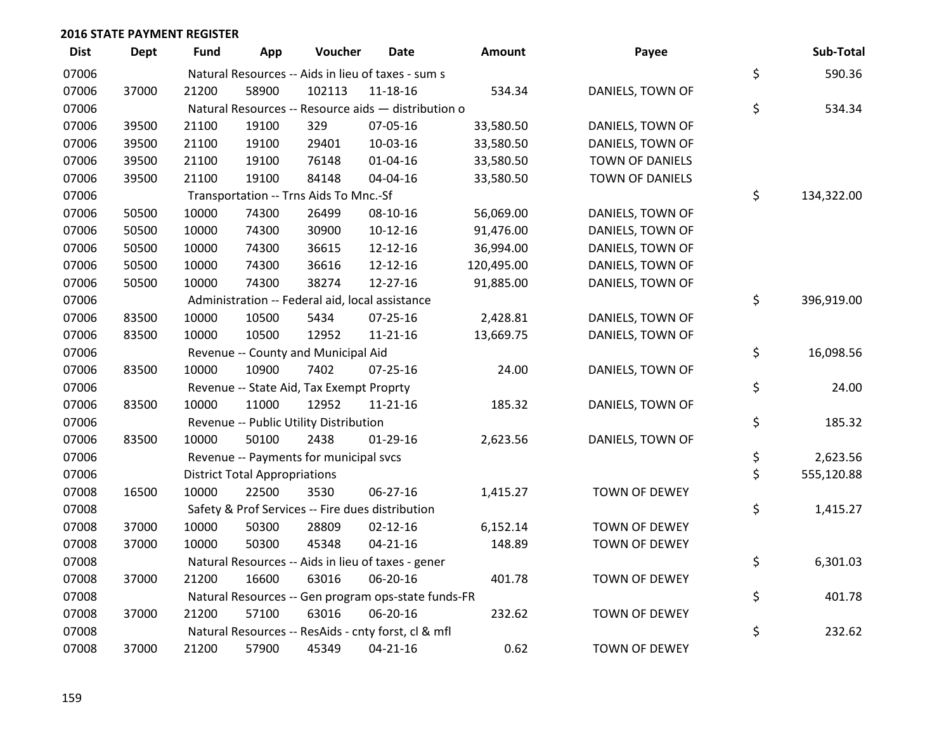| <b>Dist</b> | Dept  | Fund  | App                                  | Voucher                                             | Date           | <b>Amount</b> | Payee                | Sub-Total        |
|-------------|-------|-------|--------------------------------------|-----------------------------------------------------|----------------|---------------|----------------------|------------------|
| 07006       |       |       |                                      | Natural Resources -- Aids in lieu of taxes - sum s  |                |               |                      | \$<br>590.36     |
| 07006       | 37000 | 21200 | 58900                                | 102113                                              | 11-18-16       | 534.34        | DANIELS, TOWN OF     |                  |
| 07006       |       |       |                                      | Natural Resources -- Resource aids - distribution o |                |               |                      | \$<br>534.34     |
| 07006       | 39500 | 21100 | 19100                                | 329                                                 | 07-05-16       | 33,580.50     | DANIELS, TOWN OF     |                  |
| 07006       | 39500 | 21100 | 19100                                | 29401                                               | 10-03-16       | 33,580.50     | DANIELS, TOWN OF     |                  |
| 07006       | 39500 | 21100 | 19100                                | 76148                                               | $01 - 04 - 16$ | 33,580.50     | TOWN OF DANIELS      |                  |
| 07006       | 39500 | 21100 | 19100                                | 84148                                               | 04-04-16       | 33,580.50     | TOWN OF DANIELS      |                  |
| 07006       |       |       |                                      | Transportation -- Trns Aids To Mnc.-Sf              |                |               |                      | \$<br>134,322.00 |
| 07006       | 50500 | 10000 | 74300                                | 26499                                               | 08-10-16       | 56,069.00     | DANIELS, TOWN OF     |                  |
| 07006       | 50500 | 10000 | 74300                                | 30900                                               | $10-12-16$     | 91,476.00     | DANIELS, TOWN OF     |                  |
| 07006       | 50500 | 10000 | 74300                                | 36615                                               | 12-12-16       | 36,994.00     | DANIELS, TOWN OF     |                  |
| 07006       | 50500 | 10000 | 74300                                | 36616                                               | 12-12-16       | 120,495.00    | DANIELS, TOWN OF     |                  |
| 07006       | 50500 | 10000 | 74300                                | 38274                                               | 12-27-16       | 91,885.00     | DANIELS, TOWN OF     |                  |
| 07006       |       |       |                                      | Administration -- Federal aid, local assistance     |                |               |                      | \$<br>396,919.00 |
| 07006       | 83500 | 10000 | 10500                                | 5434                                                | $07 - 25 - 16$ | 2,428.81      | DANIELS, TOWN OF     |                  |
| 07006       | 83500 | 10000 | 10500                                | 12952                                               | $11 - 21 - 16$ | 13,669.75     | DANIELS, TOWN OF     |                  |
| 07006       |       |       |                                      | Revenue -- County and Municipal Aid                 |                |               |                      | \$<br>16,098.56  |
| 07006       | 83500 | 10000 | 10900                                | 7402                                                | $07 - 25 - 16$ | 24.00         | DANIELS, TOWN OF     |                  |
| 07006       |       |       |                                      | Revenue -- State Aid, Tax Exempt Proprty            |                |               |                      | \$<br>24.00      |
| 07006       | 83500 | 10000 | 11000                                | 12952                                               | $11 - 21 - 16$ | 185.32        | DANIELS, TOWN OF     |                  |
| 07006       |       |       |                                      | Revenue -- Public Utility Distribution              |                |               |                      | \$<br>185.32     |
| 07006       | 83500 | 10000 | 50100                                | 2438                                                | $01-29-16$     | 2,623.56      | DANIELS, TOWN OF     |                  |
| 07006       |       |       |                                      | Revenue -- Payments for municipal svcs              |                |               |                      | \$<br>2,623.56   |
| 07006       |       |       | <b>District Total Appropriations</b> |                                                     |                |               |                      | \$<br>555,120.88 |
| 07008       | 16500 | 10000 | 22500                                | 3530                                                | 06-27-16       | 1,415.27      | TOWN OF DEWEY        |                  |
| 07008       |       |       |                                      | Safety & Prof Services -- Fire dues distribution    |                |               |                      | \$<br>1,415.27   |
| 07008       | 37000 | 10000 | 50300                                | 28809                                               | $02 - 12 - 16$ | 6,152.14      | TOWN OF DEWEY        |                  |
| 07008       | 37000 | 10000 | 50300                                | 45348                                               | $04 - 21 - 16$ | 148.89        | <b>TOWN OF DEWEY</b> |                  |
| 07008       |       |       |                                      | Natural Resources -- Aids in lieu of taxes - gener  |                |               |                      | \$<br>6,301.03   |
| 07008       | 37000 | 21200 | 16600                                | 63016                                               | 06-20-16       | 401.78        | TOWN OF DEWEY        |                  |
| 07008       |       |       |                                      | Natural Resources -- Gen program ops-state funds-FR |                |               |                      | \$<br>401.78     |
| 07008       | 37000 | 21200 | 57100                                | 63016                                               | 06-20-16       | 232.62        | <b>TOWN OF DEWEY</b> |                  |
| 07008       |       |       |                                      | Natural Resources -- ResAids - cnty forst, cl & mfl |                |               |                      | \$<br>232.62     |
| 07008       | 37000 | 21200 | 57900                                | 45349                                               | $04 - 21 - 16$ | 0.62          | TOWN OF DEWEY        |                  |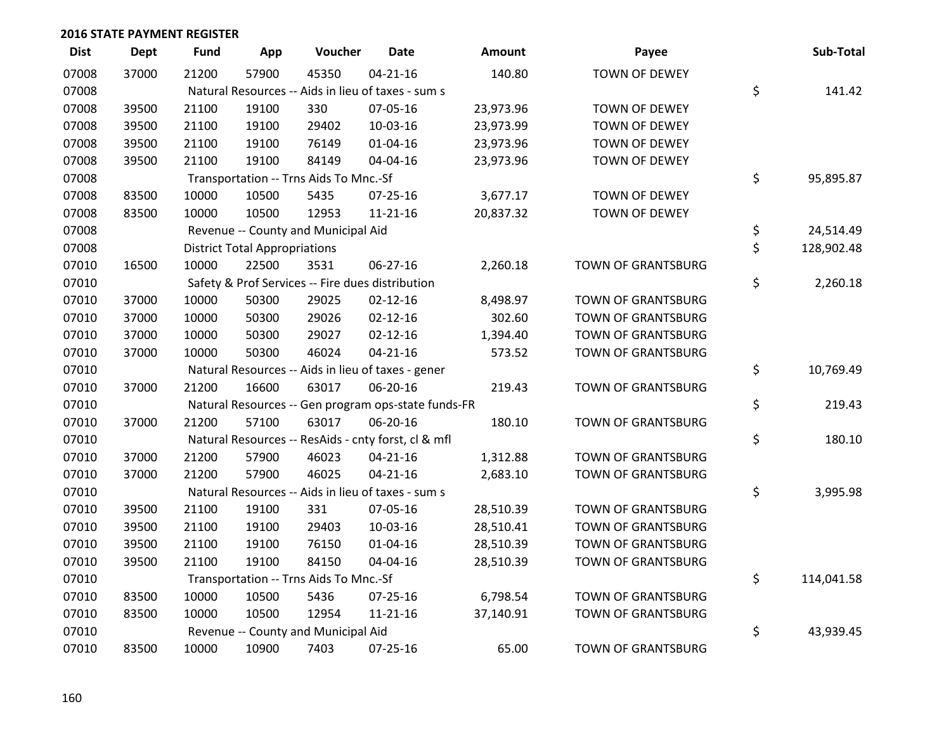| <b>Dist</b> | <b>Dept</b> | <b>Fund</b> | App                                  | Voucher                                             | <b>Date</b>    | Amount    | Payee                     | Sub-Total        |
|-------------|-------------|-------------|--------------------------------------|-----------------------------------------------------|----------------|-----------|---------------------------|------------------|
| 07008       | 37000       | 21200       | 57900                                | 45350                                               | $04 - 21 - 16$ | 140.80    | <b>TOWN OF DEWEY</b>      |                  |
| 07008       |             |             |                                      | Natural Resources -- Aids in lieu of taxes - sum s  |                |           |                           | \$<br>141.42     |
| 07008       | 39500       | 21100       | 19100                                | 330                                                 | 07-05-16       | 23,973.96 | <b>TOWN OF DEWEY</b>      |                  |
| 07008       | 39500       | 21100       | 19100                                | 29402                                               | 10-03-16       | 23,973.99 | TOWN OF DEWEY             |                  |
| 07008       | 39500       | 21100       | 19100                                | 76149                                               | $01 - 04 - 16$ | 23,973.96 | TOWN OF DEWEY             |                  |
| 07008       | 39500       | 21100       | 19100                                | 84149                                               | 04-04-16       | 23,973.96 | TOWN OF DEWEY             |                  |
| 07008       |             |             |                                      | Transportation -- Trns Aids To Mnc.-Sf              |                |           |                           | \$<br>95,895.87  |
| 07008       | 83500       | 10000       | 10500                                | 5435                                                | $07 - 25 - 16$ | 3,677.17  | TOWN OF DEWEY             |                  |
| 07008       | 83500       | 10000       | 10500                                | 12953                                               | $11 - 21 - 16$ | 20,837.32 | TOWN OF DEWEY             |                  |
| 07008       |             |             |                                      | Revenue -- County and Municipal Aid                 |                |           |                           | \$<br>24,514.49  |
| 07008       |             |             | <b>District Total Appropriations</b> |                                                     |                |           |                           | \$<br>128,902.48 |
| 07010       | 16500       | 10000       | 22500                                | 3531                                                | $06 - 27 - 16$ | 2,260.18  | <b>TOWN OF GRANTSBURG</b> |                  |
| 07010       |             |             |                                      | Safety & Prof Services -- Fire dues distribution    |                |           |                           | \$<br>2,260.18   |
| 07010       | 37000       | 10000       | 50300                                | 29025                                               | $02 - 12 - 16$ | 8,498.97  | TOWN OF GRANTSBURG        |                  |
| 07010       | 37000       | 10000       | 50300                                | 29026                                               | $02 - 12 - 16$ | 302.60    | TOWN OF GRANTSBURG        |                  |
| 07010       | 37000       | 10000       | 50300                                | 29027                                               | $02 - 12 - 16$ | 1,394.40  | <b>TOWN OF GRANTSBURG</b> |                  |
| 07010       | 37000       | 10000       | 50300                                | 46024                                               | $04 - 21 - 16$ | 573.52    | <b>TOWN OF GRANTSBURG</b> |                  |
| 07010       |             |             |                                      | Natural Resources -- Aids in lieu of taxes - gener  |                |           |                           | \$<br>10,769.49  |
| 07010       | 37000       | 21200       | 16600                                | 63017                                               | 06-20-16       | 219.43    | TOWN OF GRANTSBURG        |                  |
| 07010       |             |             |                                      | Natural Resources -- Gen program ops-state funds-FR |                |           |                           | \$<br>219.43     |
| 07010       | 37000       | 21200       | 57100                                | 63017                                               | 06-20-16       | 180.10    | <b>TOWN OF GRANTSBURG</b> |                  |
| 07010       |             |             |                                      | Natural Resources -- ResAids - cnty forst, cl & mfl |                |           |                           | \$<br>180.10     |
| 07010       | 37000       | 21200       | 57900                                | 46023                                               | $04 - 21 - 16$ | 1,312.88  | TOWN OF GRANTSBURG        |                  |
| 07010       | 37000       | 21200       | 57900                                | 46025                                               | $04 - 21 - 16$ | 2,683.10  | TOWN OF GRANTSBURG        |                  |
| 07010       |             |             |                                      | Natural Resources -- Aids in lieu of taxes - sum s  |                |           |                           | \$<br>3,995.98   |
| 07010       | 39500       | 21100       | 19100                                | 331                                                 | 07-05-16       | 28,510.39 | <b>TOWN OF GRANTSBURG</b> |                  |
| 07010       | 39500       | 21100       | 19100                                | 29403                                               | 10-03-16       | 28,510.41 | <b>TOWN OF GRANTSBURG</b> |                  |
| 07010       | 39500       | 21100       | 19100                                | 76150                                               | 01-04-16       | 28,510.39 | TOWN OF GRANTSBURG        |                  |
| 07010       | 39500       | 21100       | 19100                                | 84150                                               | 04-04-16       | 28,510.39 | TOWN OF GRANTSBURG        |                  |
| 07010       |             |             |                                      | Transportation -- Trns Aids To Mnc.-Sf              |                |           |                           | \$<br>114,041.58 |
| 07010       | 83500       | 10000       | 10500                                | 5436                                                | 07-25-16       | 6,798.54  | <b>TOWN OF GRANTSBURG</b> |                  |
| 07010       | 83500       | 10000       | 10500                                | 12954                                               | 11-21-16       | 37,140.91 | TOWN OF GRANTSBURG        |                  |
| 07010       |             |             |                                      | Revenue -- County and Municipal Aid                 |                |           |                           | \$<br>43,939.45  |
| 07010       | 83500       | 10000       | 10900                                | 7403                                                | 07-25-16       | 65.00     | TOWN OF GRANTSBURG        |                  |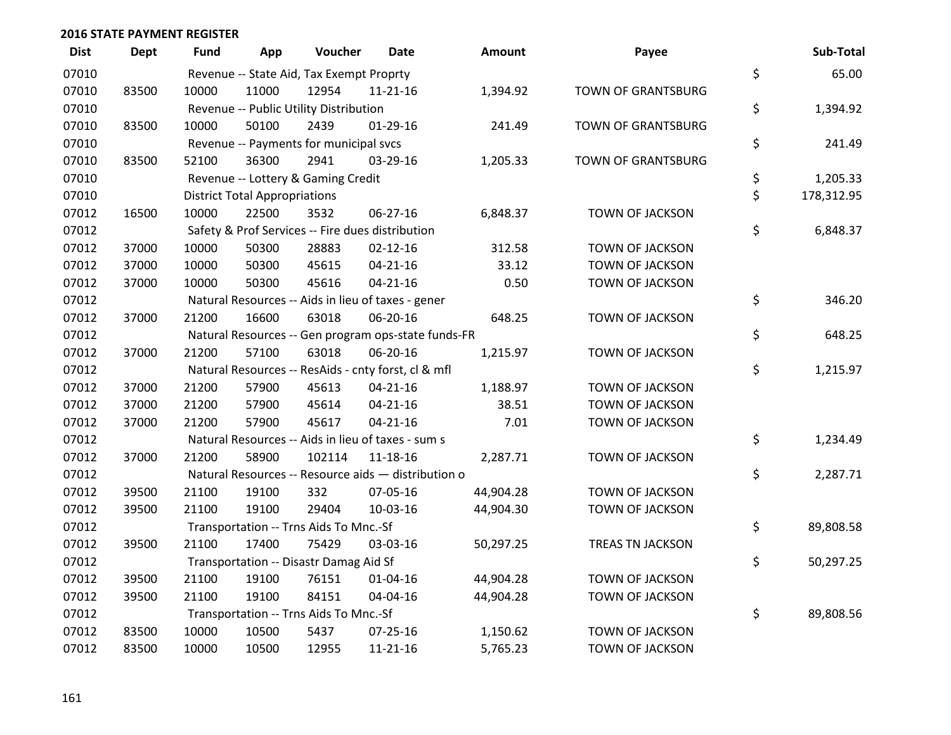| <b>Dist</b> | Dept  | Fund  | App                                  | Voucher                                             | Date           | <b>Amount</b> | Payee                     | Sub-Total        |
|-------------|-------|-------|--------------------------------------|-----------------------------------------------------|----------------|---------------|---------------------------|------------------|
| 07010       |       |       |                                      | Revenue -- State Aid, Tax Exempt Proprty            |                |               |                           | \$<br>65.00      |
| 07010       | 83500 | 10000 | 11000                                | 12954                                               | $11 - 21 - 16$ | 1,394.92      | <b>TOWN OF GRANTSBURG</b> |                  |
| 07010       |       |       |                                      | Revenue -- Public Utility Distribution              |                |               |                           | \$<br>1,394.92   |
| 07010       | 83500 | 10000 | 50100                                | 2439                                                | $01-29-16$     | 241.49        | <b>TOWN OF GRANTSBURG</b> |                  |
| 07010       |       |       |                                      | Revenue -- Payments for municipal svcs              |                |               |                           | \$<br>241.49     |
| 07010       | 83500 | 52100 | 36300                                | 2941                                                | 03-29-16       | 1,205.33      | <b>TOWN OF GRANTSBURG</b> |                  |
| 07010       |       |       |                                      | Revenue -- Lottery & Gaming Credit                  |                |               |                           | \$<br>1,205.33   |
| 07010       |       |       | <b>District Total Appropriations</b> |                                                     |                |               |                           | \$<br>178,312.95 |
| 07012       | 16500 | 10000 | 22500                                | 3532                                                | 06-27-16       | 6,848.37      | TOWN OF JACKSON           |                  |
| 07012       |       |       |                                      | Safety & Prof Services -- Fire dues distribution    |                |               |                           | \$<br>6,848.37   |
| 07012       | 37000 | 10000 | 50300                                | 28883                                               | $02 - 12 - 16$ | 312.58        | TOWN OF JACKSON           |                  |
| 07012       | 37000 | 10000 | 50300                                | 45615                                               | $04 - 21 - 16$ | 33.12         | TOWN OF JACKSON           |                  |
| 07012       | 37000 | 10000 | 50300                                | 45616                                               | $04 - 21 - 16$ | 0.50          | <b>TOWN OF JACKSON</b>    |                  |
| 07012       |       |       |                                      | Natural Resources -- Aids in lieu of taxes - gener  |                |               |                           | \$<br>346.20     |
| 07012       | 37000 | 21200 | 16600                                | 63018                                               | 06-20-16       | 648.25        | <b>TOWN OF JACKSON</b>    |                  |
| 07012       |       |       |                                      | Natural Resources -- Gen program ops-state funds-FR |                |               |                           | \$<br>648.25     |
| 07012       | 37000 | 21200 | 57100                                | 63018                                               | 06-20-16       | 1,215.97      | TOWN OF JACKSON           |                  |
| 07012       |       |       |                                      | Natural Resources -- ResAids - cnty forst, cl & mfl |                |               |                           | \$<br>1,215.97   |
| 07012       | 37000 | 21200 | 57900                                | 45613                                               | $04 - 21 - 16$ | 1,188.97      | TOWN OF JACKSON           |                  |
| 07012       | 37000 | 21200 | 57900                                | 45614                                               | $04 - 21 - 16$ | 38.51         | TOWN OF JACKSON           |                  |
| 07012       | 37000 | 21200 | 57900                                | 45617                                               | $04 - 21 - 16$ | 7.01          | <b>TOWN OF JACKSON</b>    |                  |
| 07012       |       |       |                                      | Natural Resources -- Aids in lieu of taxes - sum s  |                |               |                           | \$<br>1,234.49   |
| 07012       | 37000 | 21200 | 58900                                | 102114                                              | $11 - 18 - 16$ | 2,287.71      | TOWN OF JACKSON           |                  |
| 07012       |       |       |                                      | Natural Resources -- Resource aids - distribution o |                |               |                           | \$<br>2,287.71   |
| 07012       | 39500 | 21100 | 19100                                | 332                                                 | 07-05-16       | 44,904.28     | TOWN OF JACKSON           |                  |
| 07012       | 39500 | 21100 | 19100                                | 29404                                               | 10-03-16       | 44,904.30     | TOWN OF JACKSON           |                  |
| 07012       |       |       |                                      | Transportation -- Trns Aids To Mnc.-Sf              |                |               |                           | \$<br>89,808.58  |
| 07012       | 39500 | 21100 | 17400                                | 75429                                               | 03-03-16       | 50,297.25     | TREAS TN JACKSON          |                  |
| 07012       |       |       |                                      | Transportation -- Disastr Damag Aid Sf              |                |               |                           | \$<br>50,297.25  |
| 07012       | 39500 | 21100 | 19100                                | 76151                                               | 01-04-16       | 44,904.28     | TOWN OF JACKSON           |                  |
| 07012       | 39500 | 21100 | 19100                                | 84151                                               | 04-04-16       | 44,904.28     | TOWN OF JACKSON           |                  |
| 07012       |       |       |                                      | Transportation -- Trns Aids To Mnc.-Sf              |                |               |                           | \$<br>89,808.56  |
| 07012       | 83500 | 10000 | 10500                                | 5437                                                | $07 - 25 - 16$ | 1,150.62      | <b>TOWN OF JACKSON</b>    |                  |
| 07012       | 83500 | 10000 | 10500                                | 12955                                               | $11 - 21 - 16$ | 5,765.23      | <b>TOWN OF JACKSON</b>    |                  |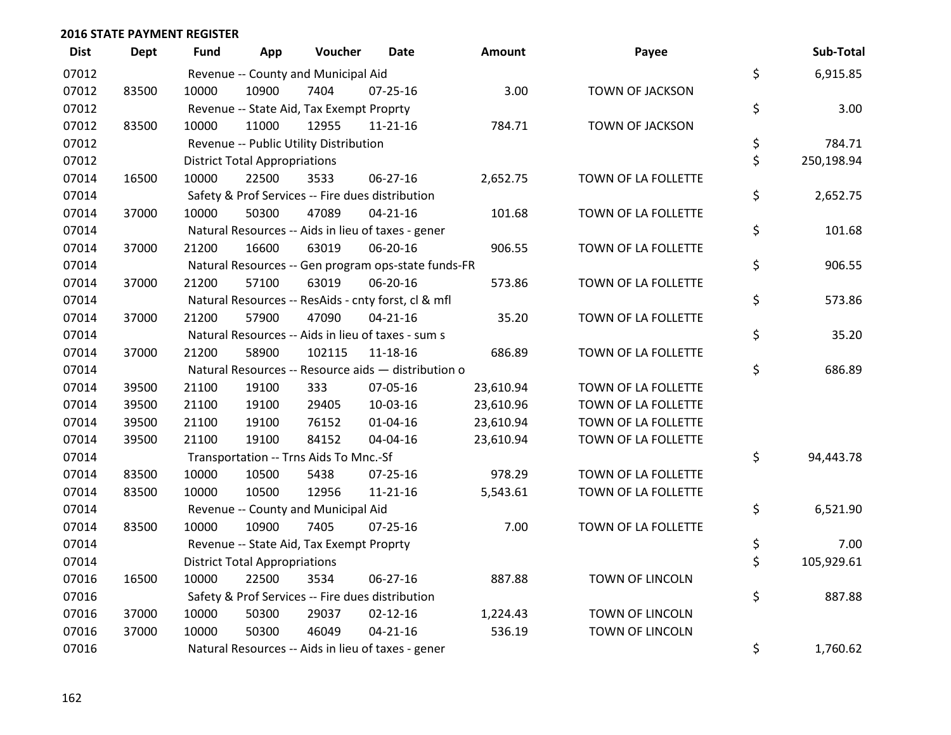| <b>Dist</b> | <b>Dept</b> | <b>Fund</b> | App                                  | Voucher                                             | Date           | <b>Amount</b> | Payee                  | Sub-Total        |
|-------------|-------------|-------------|--------------------------------------|-----------------------------------------------------|----------------|---------------|------------------------|------------------|
| 07012       |             |             |                                      | Revenue -- County and Municipal Aid                 |                |               |                        | \$<br>6,915.85   |
| 07012       | 83500       | 10000       | 10900                                | 7404                                                | $07 - 25 - 16$ | 3.00          | TOWN OF JACKSON        |                  |
| 07012       |             |             |                                      | Revenue -- State Aid, Tax Exempt Proprty            |                |               |                        | \$<br>3.00       |
| 07012       | 83500       | 10000       | 11000                                | 12955                                               | 11-21-16       | 784.71        | <b>TOWN OF JACKSON</b> |                  |
| 07012       |             |             |                                      | Revenue -- Public Utility Distribution              |                |               |                        | \$<br>784.71     |
| 07012       |             |             | <b>District Total Appropriations</b> |                                                     |                |               |                        | \$<br>250,198.94 |
| 07014       | 16500       | 10000       | 22500                                | 3533                                                | 06-27-16       | 2,652.75      | TOWN OF LA FOLLETTE    |                  |
| 07014       |             |             |                                      | Safety & Prof Services -- Fire dues distribution    |                |               |                        | \$<br>2,652.75   |
| 07014       | 37000       | 10000       | 50300                                | 47089                                               | $04 - 21 - 16$ | 101.68        | TOWN OF LA FOLLETTE    |                  |
| 07014       |             |             |                                      | Natural Resources -- Aids in lieu of taxes - gener  |                |               |                        | \$<br>101.68     |
| 07014       | 37000       | 21200       | 16600                                | 63019                                               | 06-20-16       | 906.55        | TOWN OF LA FOLLETTE    |                  |
| 07014       |             |             |                                      | Natural Resources -- Gen program ops-state funds-FR |                |               |                        | \$<br>906.55     |
| 07014       | 37000       | 21200       | 57100                                | 63019                                               | 06-20-16       | 573.86        | TOWN OF LA FOLLETTE    |                  |
| 07014       |             |             |                                      | Natural Resources -- ResAids - cnty forst, cl & mfl |                |               |                        | \$<br>573.86     |
| 07014       | 37000       | 21200       | 57900                                | 47090                                               | $04 - 21 - 16$ | 35.20         | TOWN OF LA FOLLETTE    |                  |
| 07014       |             |             |                                      | Natural Resources -- Aids in lieu of taxes - sum s  |                |               |                        | \$<br>35.20      |
| 07014       | 37000       | 21200       | 58900                                | 102115                                              | 11-18-16       | 686.89        | TOWN OF LA FOLLETTE    |                  |
| 07014       |             |             |                                      | Natural Resources -- Resource aids - distribution o |                |               |                        | \$<br>686.89     |
| 07014       | 39500       | 21100       | 19100                                | 333                                                 | 07-05-16       | 23,610.94     | TOWN OF LA FOLLETTE    |                  |
| 07014       | 39500       | 21100       | 19100                                | 29405                                               | 10-03-16       | 23,610.96     | TOWN OF LA FOLLETTE    |                  |
| 07014       | 39500       | 21100       | 19100                                | 76152                                               | $01 - 04 - 16$ | 23,610.94     | TOWN OF LA FOLLETTE    |                  |
| 07014       | 39500       | 21100       | 19100                                | 84152                                               | 04-04-16       | 23,610.94     | TOWN OF LA FOLLETTE    |                  |
| 07014       |             |             |                                      | Transportation -- Trns Aids To Mnc.-Sf              |                |               |                        | \$<br>94,443.78  |
| 07014       | 83500       | 10000       | 10500                                | 5438                                                | 07-25-16       | 978.29        | TOWN OF LA FOLLETTE    |                  |
| 07014       | 83500       | 10000       | 10500                                | 12956                                               | 11-21-16       | 5,543.61      | TOWN OF LA FOLLETTE    |                  |
| 07014       |             |             |                                      | Revenue -- County and Municipal Aid                 |                |               |                        | \$<br>6,521.90   |
| 07014       | 83500       | 10000       | 10900                                | 7405                                                | $07 - 25 - 16$ | 7.00          | TOWN OF LA FOLLETTE    |                  |
| 07014       |             |             |                                      | Revenue -- State Aid, Tax Exempt Proprty            |                |               |                        | \$<br>7.00       |
| 07014       |             |             | <b>District Total Appropriations</b> |                                                     |                |               |                        | \$<br>105,929.61 |
| 07016       | 16500       | 10000       | 22500                                | 3534                                                | $06 - 27 - 16$ | 887.88        | TOWN OF LINCOLN        |                  |
| 07016       |             |             |                                      | Safety & Prof Services -- Fire dues distribution    |                |               |                        | \$<br>887.88     |
| 07016       | 37000       | 10000       | 50300                                | 29037                                               | $02 - 12 - 16$ | 1,224.43      | <b>TOWN OF LINCOLN</b> |                  |
| 07016       | 37000       | 10000       | 50300                                | 46049                                               | $04 - 21 - 16$ | 536.19        | TOWN OF LINCOLN        |                  |
| 07016       |             |             |                                      | Natural Resources -- Aids in lieu of taxes - gener  |                |               |                        | \$<br>1,760.62   |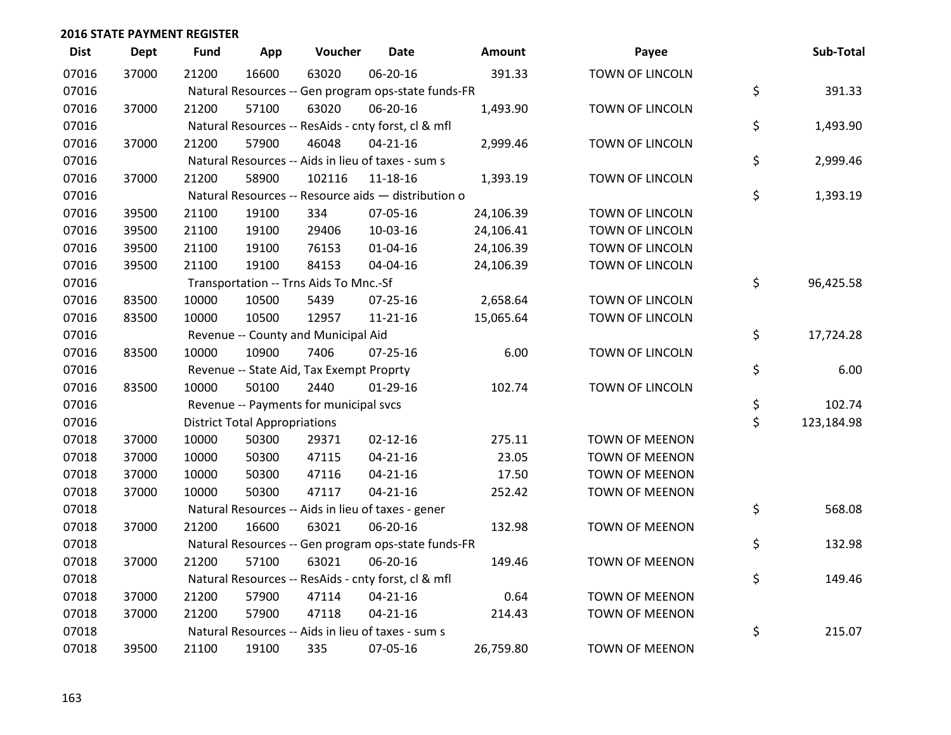| <b>Dist</b> | <b>Dept</b> | <b>Fund</b> | App                                  | Voucher                                             | <b>Date</b>    | Amount    | Payee                  | Sub-Total        |
|-------------|-------------|-------------|--------------------------------------|-----------------------------------------------------|----------------|-----------|------------------------|------------------|
| 07016       | 37000       | 21200       | 16600                                | 63020                                               | 06-20-16       | 391.33    | <b>TOWN OF LINCOLN</b> |                  |
| 07016       |             |             |                                      | Natural Resources -- Gen program ops-state funds-FR |                |           |                        | \$<br>391.33     |
| 07016       | 37000       | 21200       | 57100                                | 63020                                               | 06-20-16       | 1,493.90  | TOWN OF LINCOLN        |                  |
| 07016       |             |             |                                      | Natural Resources -- ResAids - cnty forst, cl & mfl |                |           |                        | \$<br>1,493.90   |
| 07016       | 37000       | 21200       | 57900                                | 46048                                               | $04 - 21 - 16$ | 2,999.46  | TOWN OF LINCOLN        |                  |
| 07016       |             |             |                                      | Natural Resources -- Aids in lieu of taxes - sum s  |                |           |                        | \$<br>2,999.46   |
| 07016       | 37000       | 21200       | 58900                                | 102116                                              | 11-18-16       | 1,393.19  | TOWN OF LINCOLN        |                  |
| 07016       |             |             |                                      | Natural Resources -- Resource aids - distribution o |                |           |                        | \$<br>1,393.19   |
| 07016       | 39500       | 21100       | 19100                                | 334                                                 | 07-05-16       | 24,106.39 | TOWN OF LINCOLN        |                  |
| 07016       | 39500       | 21100       | 19100                                | 29406                                               | 10-03-16       | 24,106.41 | TOWN OF LINCOLN        |                  |
| 07016       | 39500       | 21100       | 19100                                | 76153                                               | $01 - 04 - 16$ | 24,106.39 | TOWN OF LINCOLN        |                  |
| 07016       | 39500       | 21100       | 19100                                | 84153                                               | 04-04-16       | 24,106.39 | TOWN OF LINCOLN        |                  |
| 07016       |             |             |                                      | Transportation -- Trns Aids To Mnc.-Sf              |                |           |                        | \$<br>96,425.58  |
| 07016       | 83500       | 10000       | 10500                                | 5439                                                | 07-25-16       | 2,658.64  | TOWN OF LINCOLN        |                  |
| 07016       | 83500       | 10000       | 10500                                | 12957                                               | 11-21-16       | 15,065.64 | TOWN OF LINCOLN        |                  |
| 07016       |             |             |                                      | Revenue -- County and Municipal Aid                 |                |           |                        | \$<br>17,724.28  |
| 07016       | 83500       | 10000       | 10900                                | 7406                                                | $07 - 25 - 16$ | 6.00      | <b>TOWN OF LINCOLN</b> |                  |
| 07016       |             |             |                                      | Revenue -- State Aid, Tax Exempt Proprty            |                |           |                        | \$<br>6.00       |
| 07016       | 83500       | 10000       | 50100                                | 2440                                                | $01-29-16$     | 102.74    | TOWN OF LINCOLN        |                  |
| 07016       |             |             |                                      | Revenue -- Payments for municipal svcs              |                |           |                        | \$<br>102.74     |
| 07016       |             |             | <b>District Total Appropriations</b> |                                                     |                |           |                        | \$<br>123,184.98 |
| 07018       | 37000       | 10000       | 50300                                | 29371                                               | $02 - 12 - 16$ | 275.11    | TOWN OF MEENON         |                  |
| 07018       | 37000       | 10000       | 50300                                | 47115                                               | $04 - 21 - 16$ | 23.05     | <b>TOWN OF MEENON</b>  |                  |
| 07018       | 37000       | 10000       | 50300                                | 47116                                               | $04 - 21 - 16$ | 17.50     | <b>TOWN OF MEENON</b>  |                  |
| 07018       | 37000       | 10000       | 50300                                | 47117                                               | $04 - 21 - 16$ | 252.42    | <b>TOWN OF MEENON</b>  |                  |
| 07018       |             |             |                                      | Natural Resources -- Aids in lieu of taxes - gener  |                |           |                        | \$<br>568.08     |
| 07018       | 37000       | 21200       | 16600                                | 63021                                               | 06-20-16       | 132.98    | <b>TOWN OF MEENON</b>  |                  |
| 07018       |             |             |                                      | Natural Resources -- Gen program ops-state funds-FR |                |           |                        | \$<br>132.98     |
| 07018       | 37000       | 21200       | 57100                                | 63021                                               | 06-20-16       | 149.46    | <b>TOWN OF MEENON</b>  |                  |
| 07018       |             |             |                                      | Natural Resources -- ResAids - cnty forst, cl & mfl |                |           |                        | \$<br>149.46     |
| 07018       | 37000       | 21200       | 57900                                | 47114                                               | $04 - 21 - 16$ | 0.64      | <b>TOWN OF MEENON</b>  |                  |
| 07018       | 37000       | 21200       | 57900                                | 47118                                               | $04 - 21 - 16$ | 214.43    | <b>TOWN OF MEENON</b>  |                  |
| 07018       |             |             |                                      | Natural Resources -- Aids in lieu of taxes - sum s  |                |           |                        | \$<br>215.07     |
| 07018       | 39500       | 21100       | 19100                                | 335                                                 | 07-05-16       | 26,759.80 | <b>TOWN OF MEENON</b>  |                  |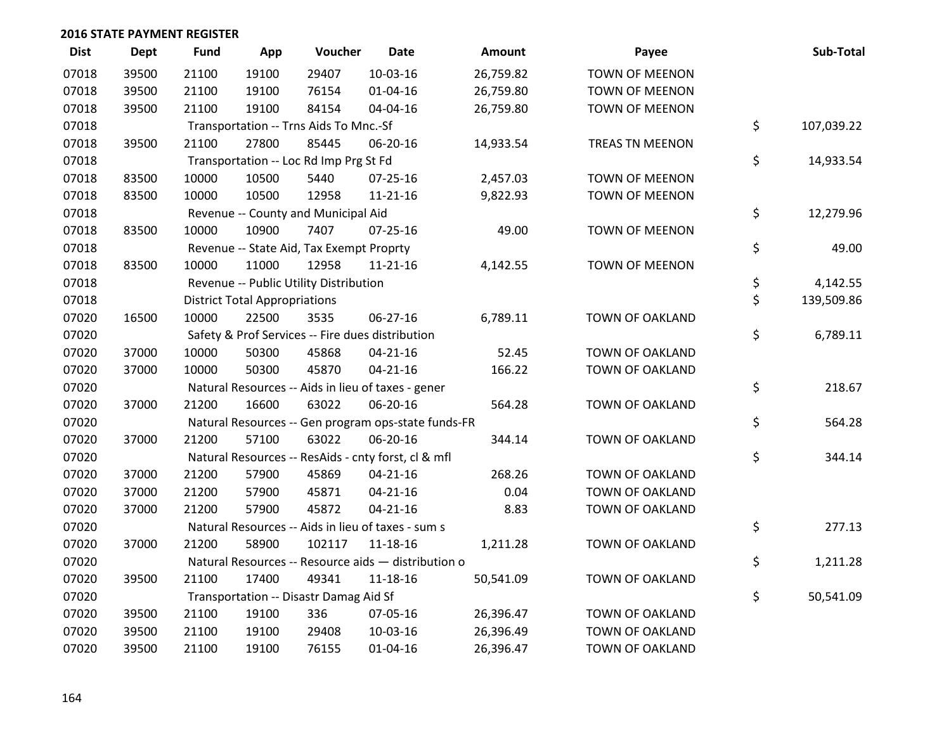| <b>Dist</b> | <b>Dept</b> | <b>Fund</b> | App                                  | Voucher                                  | <b>Date</b>                                         | Amount    | Payee                  | Sub-Total        |
|-------------|-------------|-------------|--------------------------------------|------------------------------------------|-----------------------------------------------------|-----------|------------------------|------------------|
| 07018       | 39500       | 21100       | 19100                                | 29407                                    | $10-03-16$                                          | 26,759.82 | <b>TOWN OF MEENON</b>  |                  |
| 07018       | 39500       | 21100       | 19100                                | 76154                                    | $01 - 04 - 16$                                      | 26,759.80 | TOWN OF MEENON         |                  |
| 07018       | 39500       | 21100       | 19100                                | 84154                                    | 04-04-16                                            | 26,759.80 | <b>TOWN OF MEENON</b>  |                  |
| 07018       |             |             |                                      | Transportation -- Trns Aids To Mnc.-Sf   |                                                     |           |                        | \$<br>107,039.22 |
| 07018       | 39500       | 21100       | 27800                                | 85445                                    | 06-20-16                                            | 14,933.54 | TREAS TN MEENON        |                  |
| 07018       |             |             |                                      | Transportation -- Loc Rd Imp Prg St Fd   |                                                     |           |                        | \$<br>14,933.54  |
| 07018       | 83500       | 10000       | 10500                                | 5440                                     | $07 - 25 - 16$                                      | 2,457.03  | <b>TOWN OF MEENON</b>  |                  |
| 07018       | 83500       | 10000       | 10500                                | 12958                                    | $11 - 21 - 16$                                      | 9,822.93  | <b>TOWN OF MEENON</b>  |                  |
| 07018       |             |             |                                      | Revenue -- County and Municipal Aid      |                                                     |           |                        | \$<br>12,279.96  |
| 07018       | 83500       | 10000       | 10900                                | 7407                                     | 07-25-16                                            | 49.00     | TOWN OF MEENON         |                  |
| 07018       |             |             |                                      | Revenue -- State Aid, Tax Exempt Proprty |                                                     |           |                        | \$<br>49.00      |
| 07018       | 83500       | 10000       | 11000                                | 12958                                    | $11 - 21 - 16$                                      | 4,142.55  | <b>TOWN OF MEENON</b>  |                  |
| 07018       |             |             |                                      | Revenue -- Public Utility Distribution   |                                                     |           |                        | \$<br>4,142.55   |
| 07018       |             |             | <b>District Total Appropriations</b> |                                          |                                                     |           |                        | \$<br>139,509.86 |
| 07020       | 16500       | 10000       | 22500                                | 3535                                     | 06-27-16                                            | 6,789.11  | TOWN OF OAKLAND        |                  |
| 07020       |             |             |                                      |                                          | Safety & Prof Services -- Fire dues distribution    |           |                        | \$<br>6,789.11   |
| 07020       | 37000       | 10000       | 50300                                | 45868                                    | $04 - 21 - 16$                                      | 52.45     | TOWN OF OAKLAND        |                  |
| 07020       | 37000       | 10000       | 50300                                | 45870                                    | $04 - 21 - 16$                                      | 166.22    | <b>TOWN OF OAKLAND</b> |                  |
| 07020       |             |             |                                      |                                          | Natural Resources -- Aids in lieu of taxes - gener  |           |                        | \$<br>218.67     |
| 07020       | 37000       | 21200       | 16600                                | 63022                                    | 06-20-16                                            | 564.28    | TOWN OF OAKLAND        |                  |
| 07020       |             |             |                                      |                                          | Natural Resources -- Gen program ops-state funds-FR |           |                        | \$<br>564.28     |
| 07020       | 37000       | 21200       | 57100                                | 63022                                    | 06-20-16                                            | 344.14    | TOWN OF OAKLAND        |                  |
| 07020       |             |             |                                      |                                          | Natural Resources -- ResAids - cnty forst, cl & mfl |           |                        | \$<br>344.14     |
| 07020       | 37000       | 21200       | 57900                                | 45869                                    | $04 - 21 - 16$                                      | 268.26    | <b>TOWN OF OAKLAND</b> |                  |
| 07020       | 37000       | 21200       | 57900                                | 45871                                    | $04 - 21 - 16$                                      | 0.04      | <b>TOWN OF OAKLAND</b> |                  |
| 07020       | 37000       | 21200       | 57900                                | 45872                                    | $04 - 21 - 16$                                      | 8.83      | TOWN OF OAKLAND        |                  |
| 07020       |             |             |                                      |                                          | Natural Resources -- Aids in lieu of taxes - sum s  |           |                        | \$<br>277.13     |
| 07020       | 37000       | 21200       | 58900                                | 102117                                   | 11-18-16                                            | 1,211.28  | TOWN OF OAKLAND        |                  |
| 07020       |             |             |                                      |                                          | Natural Resources -- Resource aids - distribution o |           |                        | \$<br>1,211.28   |
| 07020       | 39500       | 21100       | 17400                                | 49341                                    | 11-18-16                                            | 50,541.09 | <b>TOWN OF OAKLAND</b> |                  |
| 07020       |             |             |                                      | Transportation -- Disastr Damag Aid Sf   |                                                     |           |                        | \$<br>50,541.09  |
| 07020       | 39500       | 21100       | 19100                                | 336                                      | 07-05-16                                            | 26,396.47 | TOWN OF OAKLAND        |                  |
| 07020       | 39500       | 21100       | 19100                                | 29408                                    | 10-03-16                                            | 26,396.49 | <b>TOWN OF OAKLAND</b> |                  |
| 07020       | 39500       | 21100       | 19100                                | 76155                                    | $01 - 04 - 16$                                      | 26,396.47 | TOWN OF OAKLAND        |                  |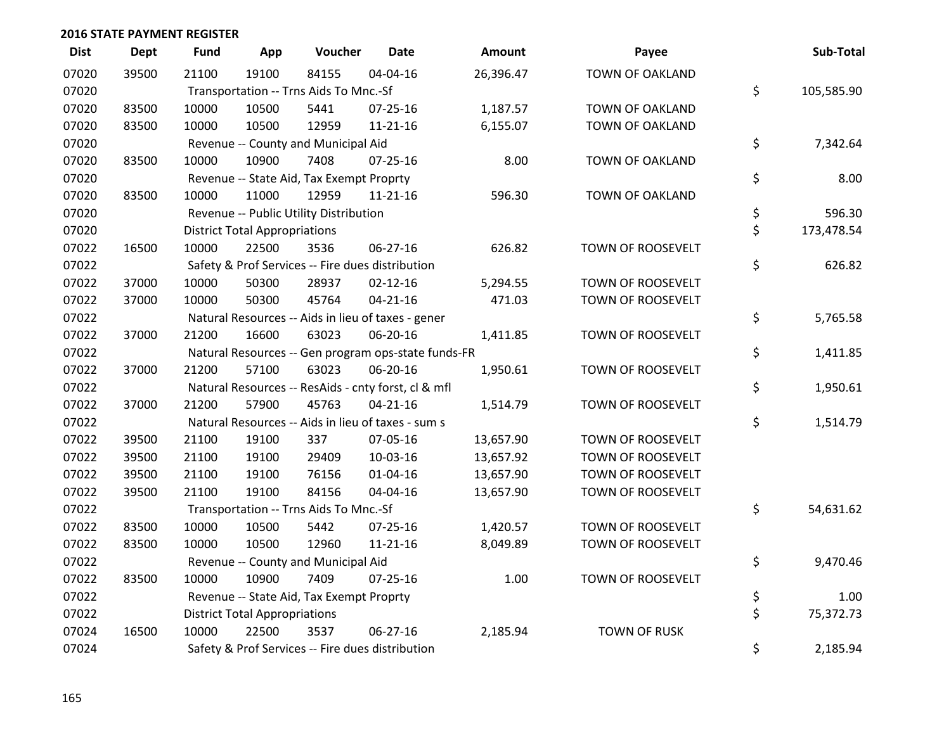| <b>Dist</b> | <b>Dept</b> | <b>Fund</b> | App                                  | Voucher                                             | Date           | Amount    | Payee                  | Sub-Total        |
|-------------|-------------|-------------|--------------------------------------|-----------------------------------------------------|----------------|-----------|------------------------|------------------|
| 07020       | 39500       | 21100       | 19100                                | 84155                                               | 04-04-16       | 26,396.47 | TOWN OF OAKLAND        |                  |
| 07020       |             |             |                                      | Transportation -- Trns Aids To Mnc.-Sf              |                |           |                        | \$<br>105,585.90 |
| 07020       | 83500       | 10000       | 10500                                | 5441                                                | 07-25-16       | 1,187.57  | TOWN OF OAKLAND        |                  |
| 07020       | 83500       | 10000       | 10500                                | 12959                                               | $11 - 21 - 16$ | 6,155.07  | TOWN OF OAKLAND        |                  |
| 07020       |             |             |                                      | Revenue -- County and Municipal Aid                 |                |           |                        | \$<br>7,342.64   |
| 07020       | 83500       | 10000       | 10900                                | 7408                                                | $07 - 25 - 16$ | 8.00      | <b>TOWN OF OAKLAND</b> |                  |
| 07020       |             |             |                                      | Revenue -- State Aid, Tax Exempt Proprty            |                |           |                        | \$<br>8.00       |
| 07020       | 83500       | 10000       | 11000                                | 12959                                               | $11 - 21 - 16$ | 596.30    | TOWN OF OAKLAND        |                  |
| 07020       |             |             |                                      | Revenue -- Public Utility Distribution              |                |           |                        | \$<br>596.30     |
| 07020       |             |             | <b>District Total Appropriations</b> |                                                     |                |           |                        | \$<br>173,478.54 |
| 07022       | 16500       | 10000       | 22500                                | 3536                                                | 06-27-16       | 626.82    | TOWN OF ROOSEVELT      |                  |
| 07022       |             |             |                                      | Safety & Prof Services -- Fire dues distribution    |                |           |                        | \$<br>626.82     |
| 07022       | 37000       | 10000       | 50300                                | 28937                                               | $02 - 12 - 16$ | 5,294.55  | TOWN OF ROOSEVELT      |                  |
| 07022       | 37000       | 10000       | 50300                                | 45764                                               | $04 - 21 - 16$ | 471.03    | TOWN OF ROOSEVELT      |                  |
| 07022       |             |             |                                      | Natural Resources -- Aids in lieu of taxes - gener  |                |           |                        | \$<br>5,765.58   |
| 07022       | 37000       | 21200       | 16600                                | 63023                                               | 06-20-16       | 1,411.85  | TOWN OF ROOSEVELT      |                  |
| 07022       |             |             |                                      | Natural Resources -- Gen program ops-state funds-FR |                |           |                        | \$<br>1,411.85   |
| 07022       | 37000       | 21200       | 57100                                | 63023                                               | 06-20-16       | 1,950.61  | TOWN OF ROOSEVELT      |                  |
| 07022       |             |             |                                      | Natural Resources -- ResAids - cnty forst, cl & mfl |                |           |                        | \$<br>1,950.61   |
| 07022       | 37000       | 21200       | 57900                                | 45763                                               | $04 - 21 - 16$ | 1,514.79  | TOWN OF ROOSEVELT      |                  |
| 07022       |             |             |                                      | Natural Resources -- Aids in lieu of taxes - sum s  |                |           |                        | \$<br>1,514.79   |
| 07022       | 39500       | 21100       | 19100                                | 337                                                 | 07-05-16       | 13,657.90 | TOWN OF ROOSEVELT      |                  |
| 07022       | 39500       | 21100       | 19100                                | 29409                                               | 10-03-16       | 13,657.92 | TOWN OF ROOSEVELT      |                  |
| 07022       | 39500       | 21100       | 19100                                | 76156                                               | $01 - 04 - 16$ | 13,657.90 | TOWN OF ROOSEVELT      |                  |
| 07022       | 39500       | 21100       | 19100                                | 84156                                               | 04-04-16       | 13,657.90 | TOWN OF ROOSEVELT      |                  |
| 07022       |             |             |                                      | Transportation -- Trns Aids To Mnc.-Sf              |                |           |                        | \$<br>54,631.62  |
| 07022       | 83500       | 10000       | 10500                                | 5442                                                | $07 - 25 - 16$ | 1,420.57  | TOWN OF ROOSEVELT      |                  |
| 07022       | 83500       | 10000       | 10500                                | 12960                                               | $11 - 21 - 16$ | 8,049.89  | TOWN OF ROOSEVELT      |                  |
| 07022       |             |             |                                      | Revenue -- County and Municipal Aid                 |                |           |                        | \$<br>9,470.46   |
| 07022       | 83500       | 10000       | 10900                                | 7409                                                | $07 - 25 - 16$ | 1.00      | TOWN OF ROOSEVELT      |                  |
| 07022       |             |             |                                      | Revenue -- State Aid, Tax Exempt Proprty            |                |           |                        | \$<br>1.00       |
| 07022       |             |             | <b>District Total Appropriations</b> |                                                     |                |           |                        | \$<br>75,372.73  |
| 07024       | 16500       | 10000       | 22500                                | 3537                                                | 06-27-16       | 2,185.94  | <b>TOWN OF RUSK</b>    |                  |
| 07024       |             |             |                                      | Safety & Prof Services -- Fire dues distribution    |                |           |                        | \$<br>2,185.94   |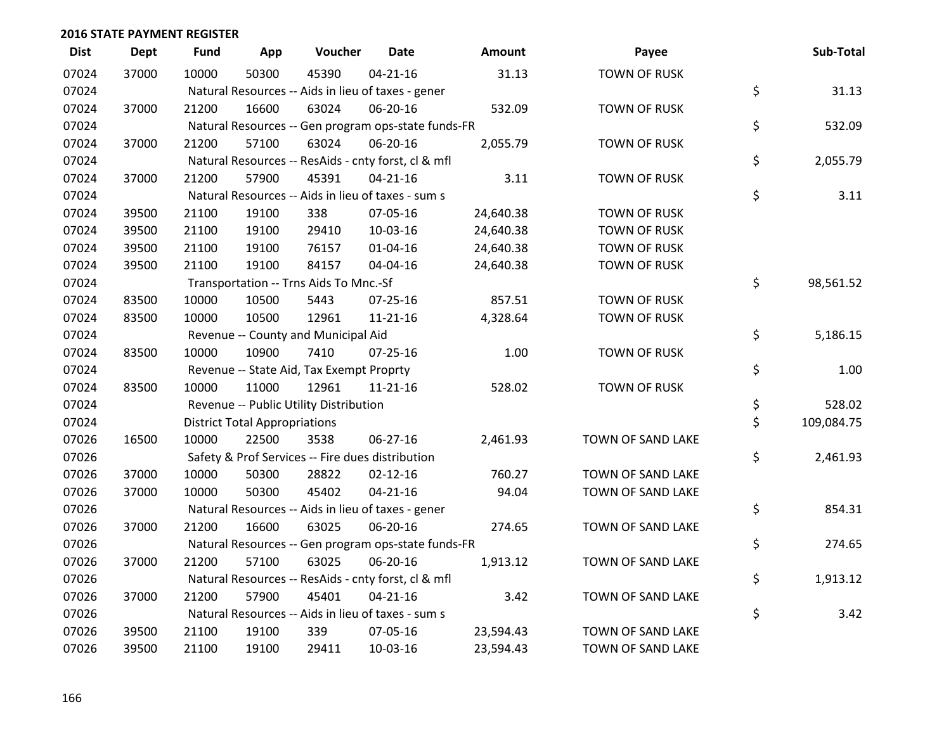| <b>Dist</b> | <b>Dept</b> | <b>Fund</b> | App                                  | Voucher                                             | <b>Date</b>    | Amount    | Payee               | Sub-Total        |
|-------------|-------------|-------------|--------------------------------------|-----------------------------------------------------|----------------|-----------|---------------------|------------------|
| 07024       | 37000       | 10000       | 50300                                | 45390                                               | $04 - 21 - 16$ | 31.13     | <b>TOWN OF RUSK</b> |                  |
| 07024       |             |             |                                      | Natural Resources -- Aids in lieu of taxes - gener  |                |           |                     | \$<br>31.13      |
| 07024       | 37000       | 21200       | 16600                                | 63024                                               | 06-20-16       | 532.09    | <b>TOWN OF RUSK</b> |                  |
| 07024       |             |             |                                      | Natural Resources -- Gen program ops-state funds-FR |                |           |                     | \$<br>532.09     |
| 07024       | 37000       | 21200       | 57100                                | 63024                                               | 06-20-16       | 2,055.79  | <b>TOWN OF RUSK</b> |                  |
| 07024       |             |             |                                      | Natural Resources -- ResAids - cnty forst, cl & mfl |                |           |                     | \$<br>2,055.79   |
| 07024       | 37000       | 21200       | 57900                                | 45391                                               | $04 - 21 - 16$ | 3.11      | <b>TOWN OF RUSK</b> |                  |
| 07024       |             |             |                                      | Natural Resources -- Aids in lieu of taxes - sum s  |                |           |                     | \$<br>3.11       |
| 07024       | 39500       | 21100       | 19100                                | 338                                                 | 07-05-16       | 24,640.38 | <b>TOWN OF RUSK</b> |                  |
| 07024       | 39500       | 21100       | 19100                                | 29410                                               | 10-03-16       | 24,640.38 | <b>TOWN OF RUSK</b> |                  |
| 07024       | 39500       | 21100       | 19100                                | 76157                                               | $01 - 04 - 16$ | 24,640.38 | <b>TOWN OF RUSK</b> |                  |
| 07024       | 39500       | 21100       | 19100                                | 84157                                               | 04-04-16       | 24,640.38 | <b>TOWN OF RUSK</b> |                  |
| 07024       |             |             |                                      | Transportation -- Trns Aids To Mnc.-Sf              |                |           |                     | \$<br>98,561.52  |
| 07024       | 83500       | 10000       | 10500                                | 5443                                                | $07 - 25 - 16$ | 857.51    | <b>TOWN OF RUSK</b> |                  |
| 07024       | 83500       | 10000       | 10500                                | 12961                                               | $11 - 21 - 16$ | 4,328.64  | <b>TOWN OF RUSK</b> |                  |
| 07024       |             |             |                                      | Revenue -- County and Municipal Aid                 |                |           |                     | \$<br>5,186.15   |
| 07024       | 83500       | 10000       | 10900                                | 7410                                                | $07 - 25 - 16$ | 1.00      | <b>TOWN OF RUSK</b> |                  |
| 07024       |             |             |                                      | Revenue -- State Aid, Tax Exempt Proprty            |                |           |                     | \$<br>1.00       |
| 07024       | 83500       | 10000       | 11000                                | 12961                                               | $11 - 21 - 16$ | 528.02    | <b>TOWN OF RUSK</b> |                  |
| 07024       |             |             |                                      | Revenue -- Public Utility Distribution              |                |           |                     | \$<br>528.02     |
| 07024       |             |             | <b>District Total Appropriations</b> |                                                     |                |           |                     | \$<br>109,084.75 |
| 07026       | 16500       | 10000       | 22500                                | 3538                                                | 06-27-16       | 2,461.93  | TOWN OF SAND LAKE   |                  |
| 07026       |             |             |                                      | Safety & Prof Services -- Fire dues distribution    |                |           |                     | \$<br>2,461.93   |
| 07026       | 37000       | 10000       | 50300                                | 28822                                               | $02 - 12 - 16$ | 760.27    | TOWN OF SAND LAKE   |                  |
| 07026       | 37000       | 10000       | 50300                                | 45402                                               | $04 - 21 - 16$ | 94.04     | TOWN OF SAND LAKE   |                  |
| 07026       |             |             |                                      | Natural Resources -- Aids in lieu of taxes - gener  |                |           |                     | \$<br>854.31     |
| 07026       | 37000       | 21200       | 16600                                | 63025                                               | 06-20-16       | 274.65    | TOWN OF SAND LAKE   |                  |
| 07026       |             |             |                                      | Natural Resources -- Gen program ops-state funds-FR |                |           |                     | \$<br>274.65     |
| 07026       | 37000       | 21200       | 57100                                | 63025                                               | 06-20-16       | 1,913.12  | TOWN OF SAND LAKE   |                  |
| 07026       |             |             |                                      | Natural Resources -- ResAids - cnty forst, cl & mfl |                |           |                     | \$<br>1,913.12   |
| 07026       | 37000       | 21200       | 57900                                | 45401                                               | $04 - 21 - 16$ | 3.42      | TOWN OF SAND LAKE   |                  |
| 07026       |             |             |                                      | Natural Resources -- Aids in lieu of taxes - sum s  |                |           |                     | \$<br>3.42       |
| 07026       | 39500       | 21100       | 19100                                | 339                                                 | 07-05-16       | 23,594.43 | TOWN OF SAND LAKE   |                  |
| 07026       | 39500       | 21100       | 19100                                | 29411                                               | 10-03-16       | 23,594.43 | TOWN OF SAND LAKE   |                  |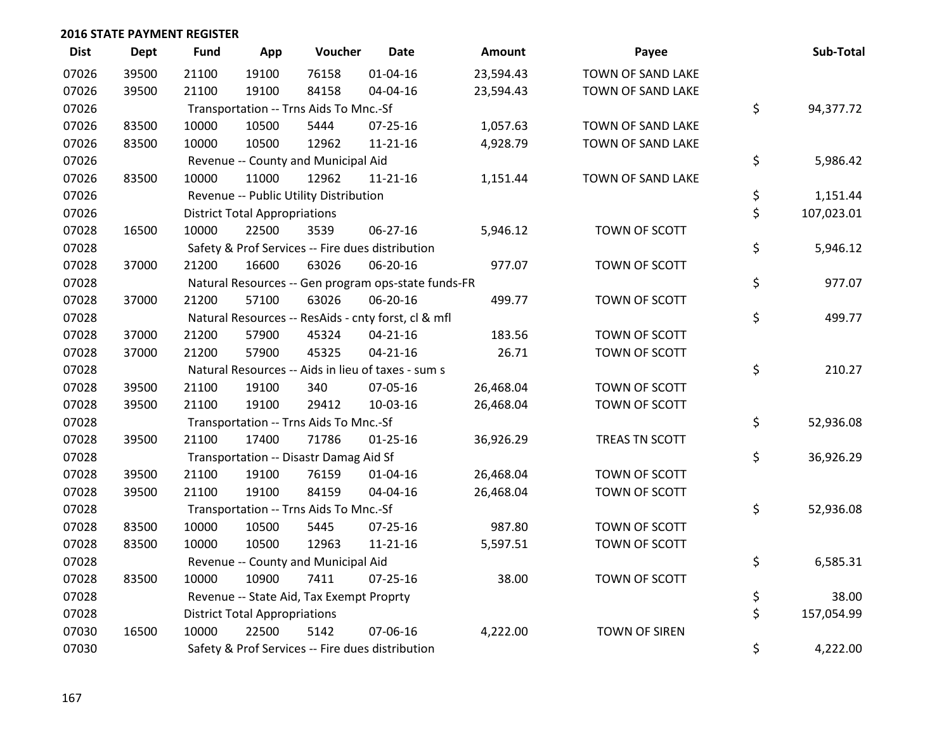| <b>Dist</b> | Dept  | <b>Fund</b> | App                                  | Voucher                                  | <b>Date</b>                                         | <b>Amount</b> | Payee                | Sub-Total        |
|-------------|-------|-------------|--------------------------------------|------------------------------------------|-----------------------------------------------------|---------------|----------------------|------------------|
| 07026       | 39500 | 21100       | 19100                                | 76158                                    | $01 - 04 - 16$                                      | 23,594.43     | TOWN OF SAND LAKE    |                  |
| 07026       | 39500 | 21100       | 19100                                | 84158                                    | 04-04-16                                            | 23,594.43     | TOWN OF SAND LAKE    |                  |
| 07026       |       |             |                                      | Transportation -- Trns Aids To Mnc.-Sf   |                                                     |               |                      | \$<br>94,377.72  |
| 07026       | 83500 | 10000       | 10500                                | 5444                                     | $07 - 25 - 16$                                      | 1,057.63      | TOWN OF SAND LAKE    |                  |
| 07026       | 83500 | 10000       | 10500                                | 12962                                    | $11 - 21 - 16$                                      | 4,928.79      | TOWN OF SAND LAKE    |                  |
| 07026       |       |             |                                      | Revenue -- County and Municipal Aid      |                                                     |               |                      | \$<br>5,986.42   |
| 07026       | 83500 | 10000       | 11000                                | 12962                                    | $11 - 21 - 16$                                      | 1,151.44      | TOWN OF SAND LAKE    |                  |
| 07026       |       |             |                                      | Revenue -- Public Utility Distribution   |                                                     |               |                      | \$<br>1,151.44   |
| 07026       |       |             | <b>District Total Appropriations</b> |                                          |                                                     |               |                      | \$<br>107,023.01 |
| 07028       | 16500 | 10000       | 22500                                | 3539                                     | 06-27-16                                            | 5,946.12      | TOWN OF SCOTT        |                  |
| 07028       |       |             |                                      |                                          | Safety & Prof Services -- Fire dues distribution    |               |                      | \$<br>5,946.12   |
| 07028       | 37000 | 21200       | 16600                                | 63026                                    | 06-20-16                                            | 977.07        | TOWN OF SCOTT        |                  |
| 07028       |       |             |                                      |                                          | Natural Resources -- Gen program ops-state funds-FR |               |                      | \$<br>977.07     |
| 07028       | 37000 | 21200       | 57100                                | 63026                                    | 06-20-16                                            | 499.77        | TOWN OF SCOTT        |                  |
| 07028       |       |             |                                      |                                          | Natural Resources -- ResAids - cnty forst, cl & mfl |               |                      | \$<br>499.77     |
| 07028       | 37000 | 21200       | 57900                                | 45324                                    | $04 - 21 - 16$                                      | 183.56        | TOWN OF SCOTT        |                  |
| 07028       | 37000 | 21200       | 57900                                | 45325                                    | $04 - 21 - 16$                                      | 26.71         | TOWN OF SCOTT        |                  |
| 07028       |       |             |                                      |                                          | Natural Resources -- Aids in lieu of taxes - sum s  |               |                      | \$<br>210.27     |
| 07028       | 39500 | 21100       | 19100                                | 340                                      | 07-05-16                                            | 26,468.04     | TOWN OF SCOTT        |                  |
| 07028       | 39500 | 21100       | 19100                                | 29412                                    | 10-03-16                                            | 26,468.04     | TOWN OF SCOTT        |                  |
| 07028       |       |             |                                      | Transportation -- Trns Aids To Mnc.-Sf   |                                                     |               |                      | \$<br>52,936.08  |
| 07028       | 39500 | 21100       | 17400                                | 71786                                    | $01 - 25 - 16$                                      | 36,926.29     | TREAS TN SCOTT       |                  |
| 07028       |       |             |                                      | Transportation -- Disastr Damag Aid Sf   |                                                     |               |                      | \$<br>36,926.29  |
| 07028       | 39500 | 21100       | 19100                                | 76159                                    | $01 - 04 - 16$                                      | 26,468.04     | TOWN OF SCOTT        |                  |
| 07028       | 39500 | 21100       | 19100                                | 84159                                    | 04-04-16                                            | 26,468.04     | TOWN OF SCOTT        |                  |
| 07028       |       |             |                                      | Transportation -- Trns Aids To Mnc.-Sf   |                                                     |               |                      | \$<br>52,936.08  |
| 07028       | 83500 | 10000       | 10500                                | 5445                                     | $07 - 25 - 16$                                      | 987.80        | TOWN OF SCOTT        |                  |
| 07028       | 83500 | 10000       | 10500                                | 12963                                    | $11 - 21 - 16$                                      | 5,597.51      | TOWN OF SCOTT        |                  |
| 07028       |       |             |                                      | Revenue -- County and Municipal Aid      |                                                     |               |                      | \$<br>6,585.31   |
| 07028       | 83500 | 10000       | 10900                                | 7411                                     | $07 - 25 - 16$                                      | 38.00         | TOWN OF SCOTT        |                  |
| 07028       |       |             |                                      | Revenue -- State Aid, Tax Exempt Proprty |                                                     |               |                      | \$<br>38.00      |
| 07028       |       |             | <b>District Total Appropriations</b> |                                          |                                                     |               |                      | \$<br>157,054.99 |
| 07030       | 16500 | 10000       | 22500                                | 5142                                     | 07-06-16                                            | 4,222.00      | <b>TOWN OF SIREN</b> |                  |
| 07030       |       |             |                                      |                                          | Safety & Prof Services -- Fire dues distribution    |               |                      | \$<br>4,222.00   |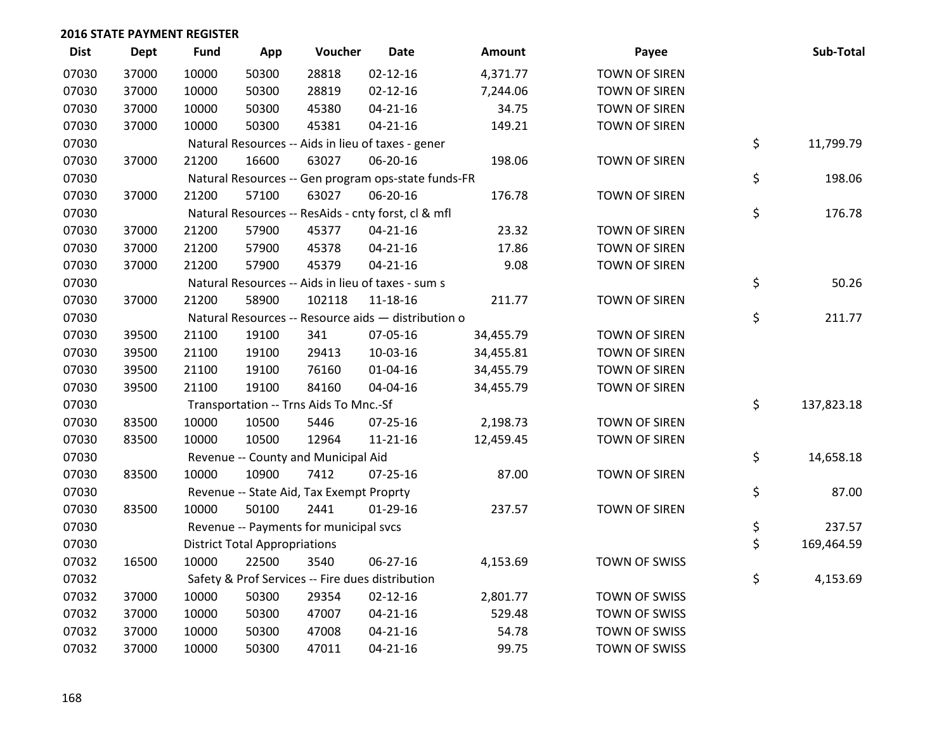| <b>Dist</b> | <b>Dept</b> | <b>Fund</b> | App                                  | Voucher                                  | <b>Date</b>                                         | Amount    | Payee                | Sub-Total        |
|-------------|-------------|-------------|--------------------------------------|------------------------------------------|-----------------------------------------------------|-----------|----------------------|------------------|
| 07030       | 37000       | 10000       | 50300                                | 28818                                    | $02 - 12 - 16$                                      | 4,371.77  | <b>TOWN OF SIREN</b> |                  |
| 07030       | 37000       | 10000       | 50300                                | 28819                                    | $02 - 12 - 16$                                      | 7,244.06  | TOWN OF SIREN        |                  |
| 07030       | 37000       | 10000       | 50300                                | 45380                                    | $04 - 21 - 16$                                      | 34.75     | TOWN OF SIREN        |                  |
| 07030       | 37000       | 10000       | 50300                                | 45381                                    | $04 - 21 - 16$                                      | 149.21    | TOWN OF SIREN        |                  |
| 07030       |             |             |                                      |                                          | Natural Resources -- Aids in lieu of taxes - gener  |           |                      | \$<br>11,799.79  |
| 07030       | 37000       | 21200       | 16600                                | 63027                                    | 06-20-16                                            | 198.06    | <b>TOWN OF SIREN</b> |                  |
| 07030       |             |             |                                      |                                          | Natural Resources -- Gen program ops-state funds-FR |           |                      | \$<br>198.06     |
| 07030       | 37000       | 21200       | 57100                                | 63027                                    | 06-20-16                                            | 176.78    | TOWN OF SIREN        |                  |
| 07030       |             |             |                                      |                                          | Natural Resources -- ResAids - cnty forst, cl & mfl |           |                      | \$<br>176.78     |
| 07030       | 37000       | 21200       | 57900                                | 45377                                    | $04 - 21 - 16$                                      | 23.32     | TOWN OF SIREN        |                  |
| 07030       | 37000       | 21200       | 57900                                | 45378                                    | $04 - 21 - 16$                                      | 17.86     | TOWN OF SIREN        |                  |
| 07030       | 37000       | 21200       | 57900                                | 45379                                    | $04 - 21 - 16$                                      | 9.08      | TOWN OF SIREN        |                  |
| 07030       |             |             |                                      |                                          | Natural Resources -- Aids in lieu of taxes - sum s  |           |                      | \$<br>50.26      |
| 07030       | 37000       | 21200       | 58900                                | 102118                                   | $11 - 18 - 16$                                      | 211.77    | <b>TOWN OF SIREN</b> |                  |
| 07030       |             |             |                                      |                                          | Natural Resources -- Resource aids - distribution o |           |                      | \$<br>211.77     |
| 07030       | 39500       | 21100       | 19100                                | 341                                      | 07-05-16                                            | 34,455.79 | <b>TOWN OF SIREN</b> |                  |
| 07030       | 39500       | 21100       | 19100                                | 29413                                    | 10-03-16                                            | 34,455.81 | <b>TOWN OF SIREN</b> |                  |
| 07030       | 39500       | 21100       | 19100                                | 76160                                    | $01 - 04 - 16$                                      | 34,455.79 | <b>TOWN OF SIREN</b> |                  |
| 07030       | 39500       | 21100       | 19100                                | 84160                                    | 04-04-16                                            | 34,455.79 | <b>TOWN OF SIREN</b> |                  |
| 07030       |             |             |                                      | Transportation -- Trns Aids To Mnc.-Sf   |                                                     |           |                      | \$<br>137,823.18 |
| 07030       | 83500       | 10000       | 10500                                | 5446                                     | $07 - 25 - 16$                                      | 2,198.73  | <b>TOWN OF SIREN</b> |                  |
| 07030       | 83500       | 10000       | 10500                                | 12964                                    | $11 - 21 - 16$                                      | 12,459.45 | <b>TOWN OF SIREN</b> |                  |
| 07030       |             |             |                                      | Revenue -- County and Municipal Aid      |                                                     |           |                      | \$<br>14,658.18  |
| 07030       | 83500       | 10000       | 10900                                | 7412                                     | $07 - 25 - 16$                                      | 87.00     | <b>TOWN OF SIREN</b> |                  |
| 07030       |             |             |                                      | Revenue -- State Aid, Tax Exempt Proprty |                                                     |           |                      | \$<br>87.00      |
| 07030       | 83500       | 10000       | 50100                                | 2441                                     | $01-29-16$                                          | 237.57    | <b>TOWN OF SIREN</b> |                  |
| 07030       |             |             |                                      | Revenue -- Payments for municipal svcs   |                                                     |           |                      | \$<br>237.57     |
| 07030       |             |             | <b>District Total Appropriations</b> |                                          |                                                     |           |                      | \$<br>169,464.59 |
| 07032       | 16500       | 10000       | 22500                                | 3540                                     | 06-27-16                                            | 4,153.69  | TOWN OF SWISS        |                  |
| 07032       |             |             |                                      |                                          | Safety & Prof Services -- Fire dues distribution    |           |                      | \$<br>4,153.69   |
| 07032       | 37000       | 10000       | 50300                                | 29354                                    | $02 - 12 - 16$                                      | 2,801.77  | TOWN OF SWISS        |                  |
| 07032       | 37000       | 10000       | 50300                                | 47007                                    | $04 - 21 - 16$                                      | 529.48    | TOWN OF SWISS        |                  |
| 07032       | 37000       | 10000       | 50300                                | 47008                                    | $04 - 21 - 16$                                      | 54.78     | TOWN OF SWISS        |                  |
| 07032       | 37000       | 10000       | 50300                                | 47011                                    | $04 - 21 - 16$                                      | 99.75     | TOWN OF SWISS        |                  |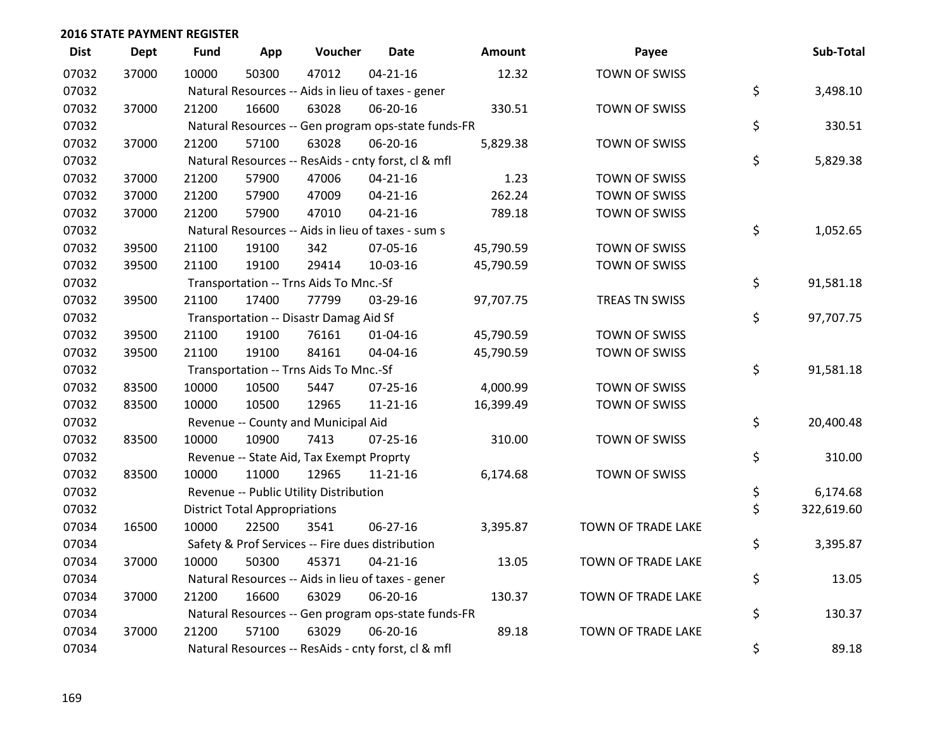| <b>Dist</b> | <b>Dept</b> | <b>Fund</b> | App                                  | Voucher                                          | Date                                                | Amount    | Payee              | Sub-Total        |
|-------------|-------------|-------------|--------------------------------------|--------------------------------------------------|-----------------------------------------------------|-----------|--------------------|------------------|
| 07032       | 37000       | 10000       | 50300                                | 47012                                            | $04 - 21 - 16$                                      | 12.32     | TOWN OF SWISS      |                  |
| 07032       |             |             |                                      |                                                  | Natural Resources -- Aids in lieu of taxes - gener  |           |                    | \$<br>3,498.10   |
| 07032       | 37000       | 21200       | 16600                                | 63028                                            | 06-20-16                                            | 330.51    | TOWN OF SWISS      |                  |
| 07032       |             |             |                                      |                                                  | Natural Resources -- Gen program ops-state funds-FR |           |                    | \$<br>330.51     |
| 07032       | 37000       | 21200       | 57100                                | 63028                                            | 06-20-16                                            | 5,829.38  | TOWN OF SWISS      |                  |
| 07032       |             |             |                                      |                                                  | Natural Resources -- ResAids - cnty forst, cl & mfl |           |                    | \$<br>5,829.38   |
| 07032       | 37000       | 21200       | 57900                                | 47006                                            | $04 - 21 - 16$                                      | 1.23      | TOWN OF SWISS      |                  |
| 07032       | 37000       | 21200       | 57900                                | 47009                                            | $04 - 21 - 16$                                      | 262.24    | TOWN OF SWISS      |                  |
| 07032       | 37000       | 21200       | 57900                                | 47010                                            | $04 - 21 - 16$                                      | 789.18    | TOWN OF SWISS      |                  |
| 07032       |             |             |                                      |                                                  | Natural Resources -- Aids in lieu of taxes - sum s  |           |                    | \$<br>1,052.65   |
| 07032       | 39500       | 21100       | 19100                                | 342                                              | 07-05-16                                            | 45,790.59 | TOWN OF SWISS      |                  |
| 07032       | 39500       | 21100       | 19100                                | 29414                                            | 10-03-16                                            | 45,790.59 | TOWN OF SWISS      |                  |
| 07032       |             |             |                                      | Transportation -- Trns Aids To Mnc.-Sf           |                                                     |           |                    | \$<br>91,581.18  |
| 07032       | 39500       | 21100       | 17400                                | 77799                                            | 03-29-16                                            | 97,707.75 | TREAS TN SWISS     |                  |
| 07032       |             |             |                                      | Transportation -- Disastr Damag Aid Sf           |                                                     |           |                    | \$<br>97,707.75  |
| 07032       | 39500       | 21100       | 19100                                | 76161                                            | $01 - 04 - 16$                                      | 45,790.59 | TOWN OF SWISS      |                  |
| 07032       | 39500       | 21100       | 19100                                | 84161                                            | 04-04-16                                            | 45,790.59 | TOWN OF SWISS      |                  |
| 07032       |             |             |                                      | Transportation -- Trns Aids To Mnc.-Sf           |                                                     |           |                    | \$<br>91,581.18  |
| 07032       | 83500       | 10000       | 10500                                | 5447                                             | 07-25-16                                            | 4,000.99  | TOWN OF SWISS      |                  |
| 07032       | 83500       | 10000       | 10500                                | 12965                                            | $11 - 21 - 16$                                      | 16,399.49 | TOWN OF SWISS      |                  |
| 07032       |             |             |                                      | Revenue -- County and Municipal Aid              |                                                     |           |                    | \$<br>20,400.48  |
| 07032       | 83500       | 10000       | 10900                                | 7413                                             | $07 - 25 - 16$                                      | 310.00    | TOWN OF SWISS      |                  |
| 07032       |             |             |                                      | Revenue -- State Aid, Tax Exempt Proprty         |                                                     |           |                    | \$<br>310.00     |
| 07032       | 83500       | 10000       | 11000                                | 12965                                            | $11 - 21 - 16$                                      | 6,174.68  | TOWN OF SWISS      |                  |
| 07032       |             |             |                                      | Revenue -- Public Utility Distribution           |                                                     |           |                    | \$<br>6,174.68   |
| 07032       |             |             | <b>District Total Appropriations</b> |                                                  |                                                     |           |                    | \$<br>322,619.60 |
| 07034       | 16500       | 10000       | 22500                                | 3541                                             | $06 - 27 - 16$                                      | 3,395.87  | TOWN OF TRADE LAKE |                  |
| 07034       |             |             |                                      | Safety & Prof Services -- Fire dues distribution |                                                     |           |                    | \$<br>3,395.87   |
| 07034       | 37000       | 10000       | 50300                                | 45371                                            | $04 - 21 - 16$                                      | 13.05     | TOWN OF TRADE LAKE |                  |
| 07034       |             |             |                                      |                                                  | Natural Resources -- Aids in lieu of taxes - gener  |           |                    | \$<br>13.05      |
| 07034       | 37000       | 21200       | 16600                                | 63029                                            | 06-20-16                                            | 130.37    | TOWN OF TRADE LAKE |                  |
| 07034       |             |             |                                      |                                                  | Natural Resources -- Gen program ops-state funds-FR |           |                    | \$<br>130.37     |
| 07034       | 37000       | 21200       | 57100                                | 63029                                            | 06-20-16                                            | 89.18     | TOWN OF TRADE LAKE |                  |
| 07034       |             |             |                                      |                                                  | Natural Resources -- ResAids - cnty forst, cl & mfl |           |                    | \$<br>89.18      |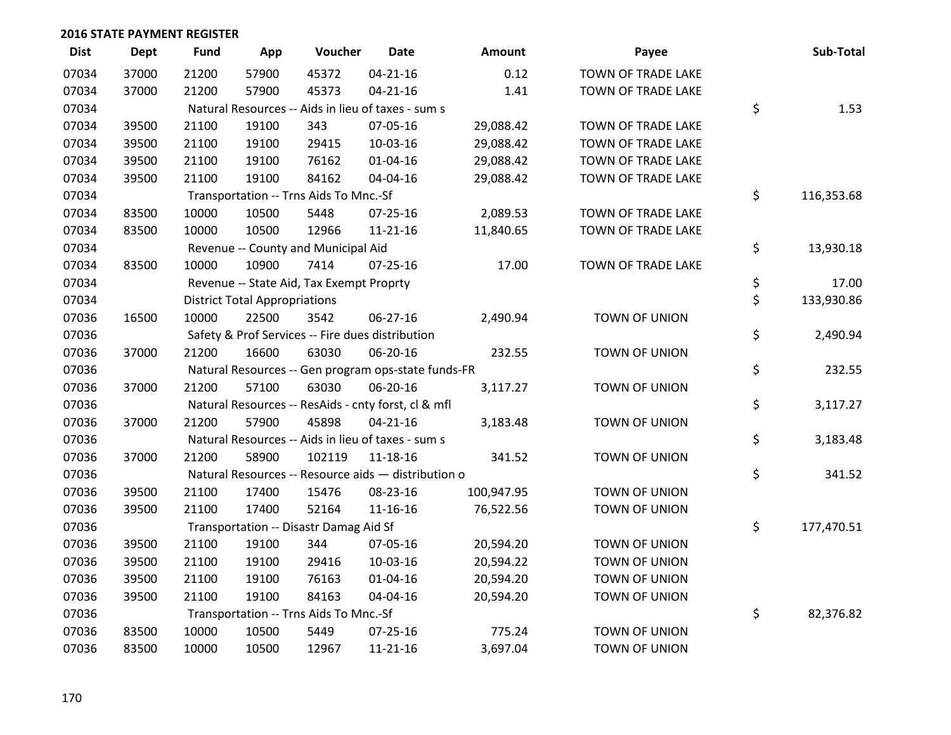| <b>Dist</b> | Dept  | <b>Fund</b> | App                                  | Voucher                                             | <b>Date</b>    | Amount     | Payee                | Sub-Total        |
|-------------|-------|-------------|--------------------------------------|-----------------------------------------------------|----------------|------------|----------------------|------------------|
| 07034       | 37000 | 21200       | 57900                                | 45372                                               | $04 - 21 - 16$ | 0.12       | TOWN OF TRADE LAKE   |                  |
| 07034       | 37000 | 21200       | 57900                                | 45373                                               | $04 - 21 - 16$ | 1.41       | TOWN OF TRADE LAKE   |                  |
| 07034       |       |             |                                      | Natural Resources -- Aids in lieu of taxes - sum s  |                |            |                      | \$<br>1.53       |
| 07034       | 39500 | 21100       | 19100                                | 343                                                 | 07-05-16       | 29,088.42  | TOWN OF TRADE LAKE   |                  |
| 07034       | 39500 | 21100       | 19100                                | 29415                                               | 10-03-16       | 29,088.42  | TOWN OF TRADE LAKE   |                  |
| 07034       | 39500 | 21100       | 19100                                | 76162                                               | $01 - 04 - 16$ | 29,088.42  | TOWN OF TRADE LAKE   |                  |
| 07034       | 39500 | 21100       | 19100                                | 84162                                               | 04-04-16       | 29,088.42  | TOWN OF TRADE LAKE   |                  |
| 07034       |       |             |                                      | Transportation -- Trns Aids To Mnc.-Sf              |                |            |                      | \$<br>116,353.68 |
| 07034       | 83500 | 10000       | 10500                                | 5448                                                | $07 - 25 - 16$ | 2,089.53   | TOWN OF TRADE LAKE   |                  |
| 07034       | 83500 | 10000       | 10500                                | 12966                                               | $11 - 21 - 16$ | 11,840.65  | TOWN OF TRADE LAKE   |                  |
| 07034       |       |             |                                      | Revenue -- County and Municipal Aid                 |                |            |                      | \$<br>13,930.18  |
| 07034       | 83500 | 10000       | 10900                                | 7414                                                | $07 - 25 - 16$ | 17.00      | TOWN OF TRADE LAKE   |                  |
| 07034       |       |             |                                      | Revenue -- State Aid, Tax Exempt Proprty            |                |            |                      | \$<br>17.00      |
| 07034       |       |             | <b>District Total Appropriations</b> |                                                     |                |            |                      | \$<br>133,930.86 |
| 07036       | 16500 | 10000       | 22500                                | 3542                                                | 06-27-16       | 2,490.94   | <b>TOWN OF UNION</b> |                  |
| 07036       |       |             |                                      | Safety & Prof Services -- Fire dues distribution    |                |            |                      | \$<br>2,490.94   |
| 07036       | 37000 | 21200       | 16600                                | 63030                                               | 06-20-16       | 232.55     | TOWN OF UNION        |                  |
| 07036       |       |             |                                      | Natural Resources -- Gen program ops-state funds-FR |                |            |                      | \$<br>232.55     |
| 07036       | 37000 | 21200       | 57100                                | 63030                                               | 06-20-16       | 3,117.27   | TOWN OF UNION        |                  |
| 07036       |       |             |                                      | Natural Resources -- ResAids - cnty forst, cl & mfl |                |            |                      | \$<br>3,117.27   |
| 07036       | 37000 | 21200       | 57900                                | 45898                                               | $04 - 21 - 16$ | 3,183.48   | TOWN OF UNION        |                  |
| 07036       |       |             |                                      | Natural Resources -- Aids in lieu of taxes - sum s  |                |            |                      | \$<br>3,183.48   |
| 07036       | 37000 | 21200       | 58900                                | 102119                                              | $11 - 18 - 16$ | 341.52     | TOWN OF UNION        |                  |
| 07036       |       |             |                                      | Natural Resources -- Resource aids - distribution o |                |            |                      | \$<br>341.52     |
| 07036       | 39500 | 21100       | 17400                                | 15476                                               | 08-23-16       | 100,947.95 | TOWN OF UNION        |                  |
| 07036       | 39500 | 21100       | 17400                                | 52164                                               | $11 - 16 - 16$ | 76,522.56  | TOWN OF UNION        |                  |
| 07036       |       |             |                                      | Transportation -- Disastr Damag Aid Sf              |                |            |                      | \$<br>177,470.51 |
| 07036       | 39500 | 21100       | 19100                                | 344                                                 | 07-05-16       | 20,594.20  | TOWN OF UNION        |                  |
| 07036       | 39500 | 21100       | 19100                                | 29416                                               | 10-03-16       | 20,594.22  | TOWN OF UNION        |                  |
| 07036       | 39500 | 21100       | 19100                                | 76163                                               | $01 - 04 - 16$ | 20,594.20  | TOWN OF UNION        |                  |
| 07036       | 39500 | 21100       | 19100                                | 84163                                               | 04-04-16       | 20,594.20  | TOWN OF UNION        |                  |
| 07036       |       |             |                                      | Transportation -- Trns Aids To Mnc.-Sf              |                |            |                      | \$<br>82,376.82  |
| 07036       | 83500 | 10000       | 10500                                | 5449                                                | $07 - 25 - 16$ | 775.24     | TOWN OF UNION        |                  |
| 07036       | 83500 | 10000       | 10500                                | 12967                                               | $11 - 21 - 16$ | 3,697.04   | <b>TOWN OF UNION</b> |                  |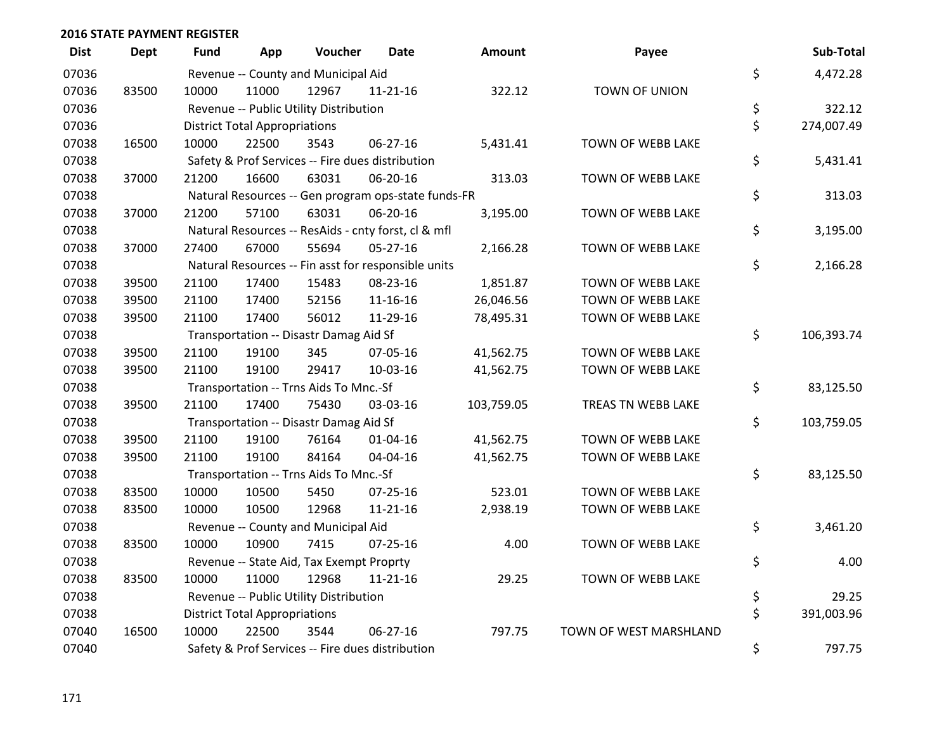| <b>Dist</b> | <b>Dept</b> | Fund  | App                                  | Voucher                                  | <b>Date</b>                                         | <b>Amount</b> | Payee                  | Sub-Total        |
|-------------|-------------|-------|--------------------------------------|------------------------------------------|-----------------------------------------------------|---------------|------------------------|------------------|
| 07036       |             |       |                                      | Revenue -- County and Municipal Aid      |                                                     |               |                        | \$<br>4,472.28   |
| 07036       | 83500       | 10000 | 11000                                | 12967                                    | 11-21-16                                            | 322.12        | TOWN OF UNION          |                  |
| 07036       |             |       |                                      | Revenue -- Public Utility Distribution   |                                                     |               |                        | \$<br>322.12     |
| 07036       |             |       | <b>District Total Appropriations</b> |                                          |                                                     |               |                        | \$<br>274,007.49 |
| 07038       | 16500       | 10000 | 22500                                | 3543                                     | $06 - 27 - 16$                                      | 5,431.41      | TOWN OF WEBB LAKE      |                  |
| 07038       |             |       |                                      |                                          | Safety & Prof Services -- Fire dues distribution    |               |                        | \$<br>5,431.41   |
| 07038       | 37000       | 21200 | 16600                                | 63031                                    | 06-20-16                                            | 313.03        | TOWN OF WEBB LAKE      |                  |
| 07038       |             |       |                                      |                                          | Natural Resources -- Gen program ops-state funds-FR |               |                        | \$<br>313.03     |
| 07038       | 37000       | 21200 | 57100                                | 63031                                    | 06-20-16                                            | 3,195.00      | TOWN OF WEBB LAKE      |                  |
| 07038       |             |       |                                      |                                          | Natural Resources -- ResAids - cnty forst, cl & mfl |               |                        | \$<br>3,195.00   |
| 07038       | 37000       | 27400 | 67000                                | 55694                                    | $05-27-16$                                          | 2,166.28      | TOWN OF WEBB LAKE      |                  |
| 07038       |             |       |                                      |                                          | Natural Resources -- Fin asst for responsible units |               |                        | \$<br>2,166.28   |
| 07038       | 39500       | 21100 | 17400                                | 15483                                    | 08-23-16                                            | 1,851.87      | TOWN OF WEBB LAKE      |                  |
| 07038       | 39500       | 21100 | 17400                                | 52156                                    | 11-16-16                                            | 26,046.56     | TOWN OF WEBB LAKE      |                  |
| 07038       | 39500       | 21100 | 17400                                | 56012                                    | 11-29-16                                            | 78,495.31     | TOWN OF WEBB LAKE      |                  |
| 07038       |             |       |                                      | Transportation -- Disastr Damag Aid Sf   |                                                     |               |                        | \$<br>106,393.74 |
| 07038       | 39500       | 21100 | 19100                                | 345                                      | 07-05-16                                            | 41,562.75     | TOWN OF WEBB LAKE      |                  |
| 07038       | 39500       | 21100 | 19100                                | 29417                                    | 10-03-16                                            | 41,562.75     | TOWN OF WEBB LAKE      |                  |
| 07038       |             |       |                                      | Transportation -- Trns Aids To Mnc.-Sf   |                                                     |               |                        | \$<br>83,125.50  |
| 07038       | 39500       | 21100 | 17400                                | 75430                                    | 03-03-16                                            | 103,759.05    | TREAS TN WEBB LAKE     |                  |
| 07038       |             |       |                                      | Transportation -- Disastr Damag Aid Sf   |                                                     |               |                        | \$<br>103,759.05 |
| 07038       | 39500       | 21100 | 19100                                | 76164                                    | $01 - 04 - 16$                                      | 41,562.75     | TOWN OF WEBB LAKE      |                  |
| 07038       | 39500       | 21100 | 19100                                | 84164                                    | 04-04-16                                            | 41,562.75     | TOWN OF WEBB LAKE      |                  |
| 07038       |             |       |                                      | Transportation -- Trns Aids To Mnc.-Sf   |                                                     |               |                        | \$<br>83,125.50  |
| 07038       | 83500       | 10000 | 10500                                | 5450                                     | 07-25-16                                            | 523.01        | TOWN OF WEBB LAKE      |                  |
| 07038       | 83500       | 10000 | 10500                                | 12968                                    | 11-21-16                                            | 2,938.19      | TOWN OF WEBB LAKE      |                  |
| 07038       |             |       |                                      | Revenue -- County and Municipal Aid      |                                                     |               |                        | \$<br>3,461.20   |
| 07038       | 83500       | 10000 | 10900                                | 7415                                     | $07 - 25 - 16$                                      | 4.00          | TOWN OF WEBB LAKE      |                  |
| 07038       |             |       |                                      | Revenue -- State Aid, Tax Exempt Proprty |                                                     |               |                        | \$<br>4.00       |
| 07038       | 83500       | 10000 | 11000                                | 12968                                    | $11 - 21 - 16$                                      | 29.25         | TOWN OF WEBB LAKE      |                  |
| 07038       |             |       |                                      | Revenue -- Public Utility Distribution   |                                                     |               |                        | \$<br>29.25      |
| 07038       |             |       | <b>District Total Appropriations</b> |                                          |                                                     |               |                        | \$<br>391,003.96 |
| 07040       | 16500       | 10000 | 22500                                | 3544                                     | 06-27-16                                            | 797.75        | TOWN OF WEST MARSHLAND |                  |
| 07040       |             |       |                                      |                                          | Safety & Prof Services -- Fire dues distribution    |               |                        | \$<br>797.75     |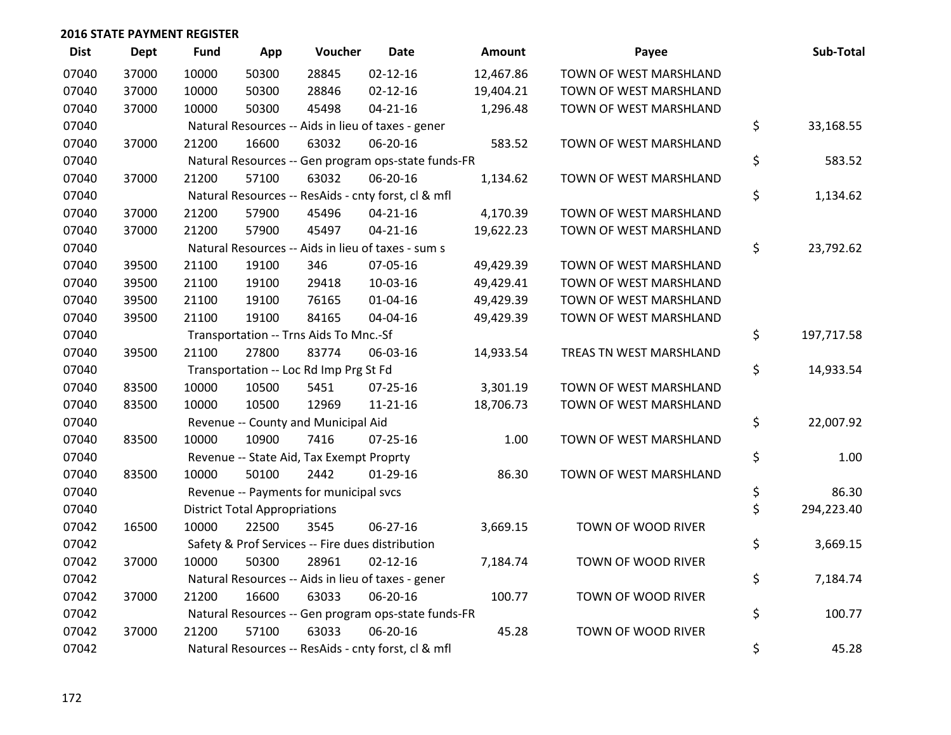| <b>Dist</b> | <b>Dept</b> | <b>Fund</b> | App                                  | Voucher                                             | Date           | <b>Amount</b> | Payee                   | Sub-Total        |
|-------------|-------------|-------------|--------------------------------------|-----------------------------------------------------|----------------|---------------|-------------------------|------------------|
| 07040       | 37000       | 10000       | 50300                                | 28845                                               | $02 - 12 - 16$ | 12,467.86     | TOWN OF WEST MARSHLAND  |                  |
| 07040       | 37000       | 10000       | 50300                                | 28846                                               | $02 - 12 - 16$ | 19,404.21     | TOWN OF WEST MARSHLAND  |                  |
| 07040       | 37000       | 10000       | 50300                                | 45498                                               | $04 - 21 - 16$ | 1,296.48      | TOWN OF WEST MARSHLAND  |                  |
| 07040       |             |             |                                      | Natural Resources -- Aids in lieu of taxes - gener  |                |               |                         | \$<br>33,168.55  |
| 07040       | 37000       | 21200       | 16600                                | 63032                                               | 06-20-16       | 583.52        | TOWN OF WEST MARSHLAND  |                  |
| 07040       |             |             |                                      | Natural Resources -- Gen program ops-state funds-FR |                |               |                         | \$<br>583.52     |
| 07040       | 37000       | 21200       | 57100                                | 63032                                               | 06-20-16       | 1,134.62      | TOWN OF WEST MARSHLAND  |                  |
| 07040       |             |             |                                      | Natural Resources -- ResAids - cnty forst, cl & mfl |                |               |                         | \$<br>1,134.62   |
| 07040       | 37000       | 21200       | 57900                                | 45496                                               | $04 - 21 - 16$ | 4,170.39      | TOWN OF WEST MARSHLAND  |                  |
| 07040       | 37000       | 21200       | 57900                                | 45497                                               | $04 - 21 - 16$ | 19,622.23     | TOWN OF WEST MARSHLAND  |                  |
| 07040       |             |             |                                      | Natural Resources -- Aids in lieu of taxes - sum s  |                |               |                         | \$<br>23,792.62  |
| 07040       | 39500       | 21100       | 19100                                | 346                                                 | 07-05-16       | 49,429.39     | TOWN OF WEST MARSHLAND  |                  |
| 07040       | 39500       | 21100       | 19100                                | 29418                                               | 10-03-16       | 49,429.41     | TOWN OF WEST MARSHLAND  |                  |
| 07040       | 39500       | 21100       | 19100                                | 76165                                               | $01 - 04 - 16$ | 49,429.39     | TOWN OF WEST MARSHLAND  |                  |
| 07040       | 39500       | 21100       | 19100                                | 84165                                               | 04-04-16       | 49,429.39     | TOWN OF WEST MARSHLAND  |                  |
| 07040       |             |             |                                      | Transportation -- Trns Aids To Mnc.-Sf              |                |               |                         | \$<br>197,717.58 |
| 07040       | 39500       | 21100       | 27800                                | 83774                                               | 06-03-16       | 14,933.54     | TREAS TN WEST MARSHLAND |                  |
| 07040       |             |             |                                      | Transportation -- Loc Rd Imp Prg St Fd              |                |               |                         | \$<br>14,933.54  |
| 07040       | 83500       | 10000       | 10500                                | 5451                                                | $07 - 25 - 16$ | 3,301.19      | TOWN OF WEST MARSHLAND  |                  |
| 07040       | 83500       | 10000       | 10500                                | 12969                                               | $11 - 21 - 16$ | 18,706.73     | TOWN OF WEST MARSHLAND  |                  |
| 07040       |             |             |                                      | Revenue -- County and Municipal Aid                 |                |               |                         | \$<br>22,007.92  |
| 07040       | 83500       | 10000       | 10900                                | 7416                                                | $07 - 25 - 16$ | 1.00          | TOWN OF WEST MARSHLAND  |                  |
| 07040       |             |             |                                      | Revenue -- State Aid, Tax Exempt Proprty            |                |               |                         | \$<br>1.00       |
| 07040       | 83500       | 10000       | 50100                                | 2442                                                | $01-29-16$     | 86.30         | TOWN OF WEST MARSHLAND  |                  |
| 07040       |             |             |                                      | Revenue -- Payments for municipal svcs              |                |               |                         | \$<br>86.30      |
| 07040       |             |             | <b>District Total Appropriations</b> |                                                     |                |               |                         | \$<br>294,223.40 |
| 07042       | 16500       | 10000       | 22500                                | 3545                                                | 06-27-16       | 3,669.15      | TOWN OF WOOD RIVER      |                  |
| 07042       |             |             |                                      | Safety & Prof Services -- Fire dues distribution    |                |               |                         | \$<br>3,669.15   |
| 07042       | 37000       | 10000       | 50300                                | 28961                                               | $02 - 12 - 16$ | 7,184.74      | TOWN OF WOOD RIVER      |                  |
| 07042       |             |             |                                      | Natural Resources -- Aids in lieu of taxes - gener  |                |               |                         | \$<br>7,184.74   |
| 07042       | 37000       | 21200       | 16600                                | 63033                                               | 06-20-16       | 100.77        | TOWN OF WOOD RIVER      |                  |
| 07042       |             |             |                                      | Natural Resources -- Gen program ops-state funds-FR |                |               |                         | \$<br>100.77     |
| 07042       | 37000       | 21200       | 57100                                | 63033                                               | 06-20-16       | 45.28         | TOWN OF WOOD RIVER      |                  |
| 07042       |             |             |                                      | Natural Resources -- ResAids - cnty forst, cl & mfl |                |               |                         | \$<br>45.28      |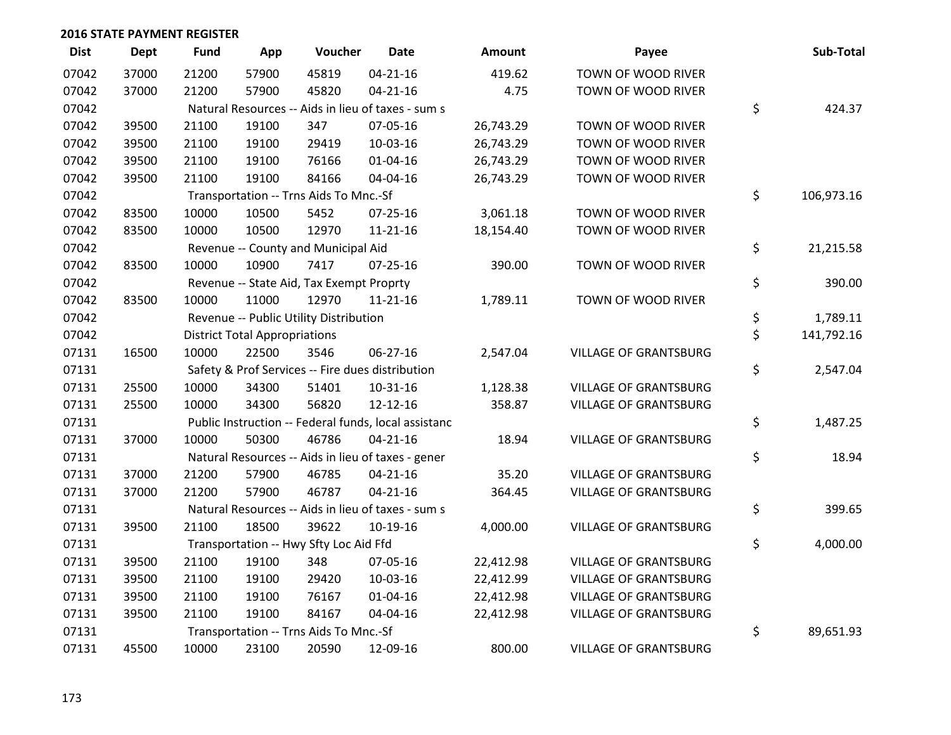| <b>Dist</b> | <b>Dept</b> | <b>Fund</b> | App                                  | Voucher                                  | Date                                                 | <b>Amount</b> | Payee                        | Sub-Total        |
|-------------|-------------|-------------|--------------------------------------|------------------------------------------|------------------------------------------------------|---------------|------------------------------|------------------|
| 07042       | 37000       | 21200       | 57900                                | 45819                                    | $04 - 21 - 16$                                       | 419.62        | TOWN OF WOOD RIVER           |                  |
| 07042       | 37000       | 21200       | 57900                                | 45820                                    | $04 - 21 - 16$                                       | 4.75          | TOWN OF WOOD RIVER           |                  |
| 07042       |             |             |                                      |                                          | Natural Resources -- Aids in lieu of taxes - sum s   |               |                              | \$<br>424.37     |
| 07042       | 39500       | 21100       | 19100                                | 347                                      | 07-05-16                                             | 26,743.29     | TOWN OF WOOD RIVER           |                  |
| 07042       | 39500       | 21100       | 19100                                | 29419                                    | 10-03-16                                             | 26,743.29     | TOWN OF WOOD RIVER           |                  |
| 07042       | 39500       | 21100       | 19100                                | 76166                                    | $01 - 04 - 16$                                       | 26,743.29     | TOWN OF WOOD RIVER           |                  |
| 07042       | 39500       | 21100       | 19100                                | 84166                                    | 04-04-16                                             | 26,743.29     | TOWN OF WOOD RIVER           |                  |
| 07042       |             |             |                                      | Transportation -- Trns Aids To Mnc.-Sf   |                                                      |               |                              | \$<br>106,973.16 |
| 07042       | 83500       | 10000       | 10500                                | 5452                                     | $07 - 25 - 16$                                       | 3,061.18      | TOWN OF WOOD RIVER           |                  |
| 07042       | 83500       | 10000       | 10500                                | 12970                                    | $11 - 21 - 16$                                       | 18,154.40     | TOWN OF WOOD RIVER           |                  |
| 07042       |             |             |                                      | Revenue -- County and Municipal Aid      |                                                      |               |                              | \$<br>21,215.58  |
| 07042       | 83500       | 10000       | 10900                                | 7417                                     | $07 - 25 - 16$                                       | 390.00        | TOWN OF WOOD RIVER           |                  |
| 07042       |             |             |                                      | Revenue -- State Aid, Tax Exempt Proprty |                                                      |               |                              | \$<br>390.00     |
| 07042       | 83500       | 10000       | 11000                                | 12970                                    | $11 - 21 - 16$                                       | 1,789.11      | TOWN OF WOOD RIVER           |                  |
| 07042       |             |             |                                      | Revenue -- Public Utility Distribution   |                                                      |               |                              | \$<br>1,789.11   |
| 07042       |             |             | <b>District Total Appropriations</b> |                                          |                                                      |               |                              | \$<br>141,792.16 |
| 07131       | 16500       | 10000       | 22500                                | 3546                                     | 06-27-16                                             | 2,547.04      | <b>VILLAGE OF GRANTSBURG</b> |                  |
| 07131       |             |             |                                      |                                          | Safety & Prof Services -- Fire dues distribution     |               |                              | \$<br>2,547.04   |
| 07131       | 25500       | 10000       | 34300                                | 51401                                    | $10-31-16$                                           | 1,128.38      | <b>VILLAGE OF GRANTSBURG</b> |                  |
| 07131       | 25500       | 10000       | 34300                                | 56820                                    | 12-12-16                                             | 358.87        | <b>VILLAGE OF GRANTSBURG</b> |                  |
| 07131       |             |             |                                      |                                          | Public Instruction -- Federal funds, local assistanc |               |                              | \$<br>1,487.25   |
| 07131       | 37000       | 10000       | 50300                                | 46786                                    | $04 - 21 - 16$                                       | 18.94         | <b>VILLAGE OF GRANTSBURG</b> |                  |
| 07131       |             |             |                                      |                                          | Natural Resources -- Aids in lieu of taxes - gener   |               |                              | \$<br>18.94      |
| 07131       | 37000       | 21200       | 57900                                | 46785                                    | $04 - 21 - 16$                                       | 35.20         | <b>VILLAGE OF GRANTSBURG</b> |                  |
| 07131       | 37000       | 21200       | 57900                                | 46787                                    | $04 - 21 - 16$                                       | 364.45        | <b>VILLAGE OF GRANTSBURG</b> |                  |
| 07131       |             |             |                                      |                                          | Natural Resources -- Aids in lieu of taxes - sum s   |               |                              | \$<br>399.65     |
| 07131       | 39500       | 21100       | 18500                                | 39622                                    | 10-19-16                                             | 4,000.00      | <b>VILLAGE OF GRANTSBURG</b> |                  |
| 07131       |             |             |                                      | Transportation -- Hwy Sfty Loc Aid Ffd   |                                                      |               |                              | \$<br>4,000.00   |
| 07131       | 39500       | 21100       | 19100                                | 348                                      | 07-05-16                                             | 22,412.98     | <b>VILLAGE OF GRANTSBURG</b> |                  |
| 07131       | 39500       | 21100       | 19100                                | 29420                                    | 10-03-16                                             | 22,412.99     | <b>VILLAGE OF GRANTSBURG</b> |                  |
| 07131       | 39500       | 21100       | 19100                                | 76167                                    | $01 - 04 - 16$                                       | 22,412.98     | <b>VILLAGE OF GRANTSBURG</b> |                  |
| 07131       | 39500       | 21100       | 19100                                | 84167                                    | 04-04-16                                             | 22,412.98     | <b>VILLAGE OF GRANTSBURG</b> |                  |
| 07131       |             |             |                                      | Transportation -- Trns Aids To Mnc.-Sf   |                                                      |               |                              | \$<br>89,651.93  |
| 07131       | 45500       | 10000       | 23100                                | 20590                                    | 12-09-16                                             | 800.00        | <b>VILLAGE OF GRANTSBURG</b> |                  |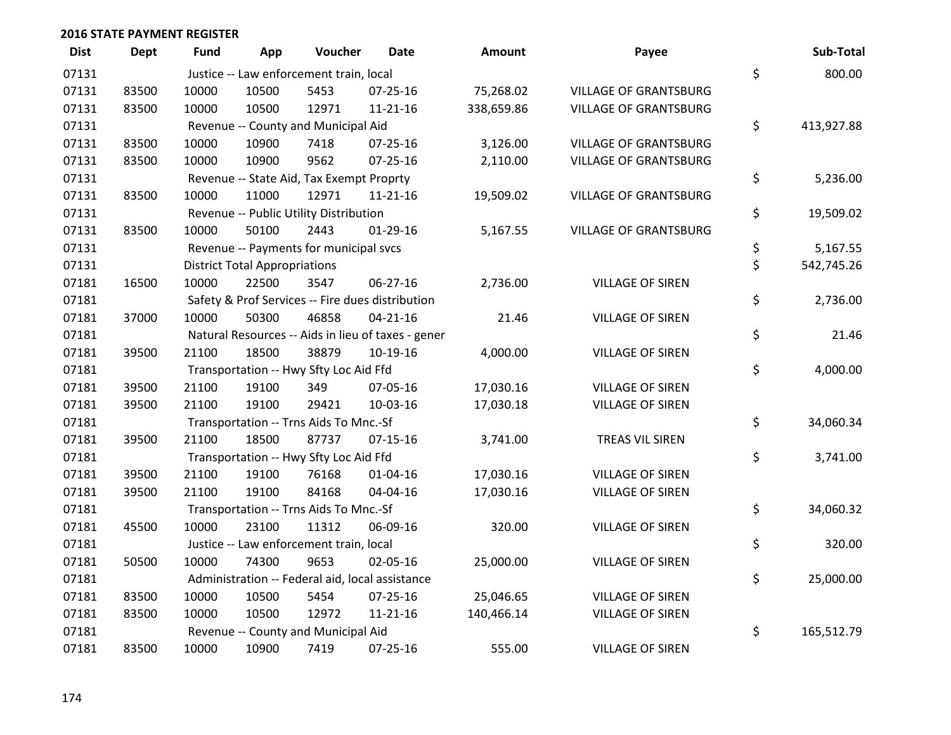| <b>Dist</b> | <b>Dept</b> | <b>Fund</b> | App                                  | Voucher                                  | <b>Date</b>                                        | <b>Amount</b> | Payee                        | Sub-Total        |
|-------------|-------------|-------------|--------------------------------------|------------------------------------------|----------------------------------------------------|---------------|------------------------------|------------------|
| 07131       |             |             |                                      | Justice -- Law enforcement train, local  |                                                    |               |                              | \$<br>800.00     |
| 07131       | 83500       | 10000       | 10500                                | 5453                                     | $07 - 25 - 16$                                     | 75,268.02     | <b>VILLAGE OF GRANTSBURG</b> |                  |
| 07131       | 83500       | 10000       | 10500                                | 12971                                    | $11 - 21 - 16$                                     | 338,659.86    | <b>VILLAGE OF GRANTSBURG</b> |                  |
| 07131       |             |             |                                      | Revenue -- County and Municipal Aid      |                                                    |               |                              | \$<br>413,927.88 |
| 07131       | 83500       | 10000       | 10900                                | 7418                                     | $07 - 25 - 16$                                     | 3,126.00      | <b>VILLAGE OF GRANTSBURG</b> |                  |
| 07131       | 83500       | 10000       | 10900                                | 9562                                     | $07 - 25 - 16$                                     | 2,110.00      | <b>VILLAGE OF GRANTSBURG</b> |                  |
| 07131       |             |             |                                      | Revenue -- State Aid, Tax Exempt Proprty |                                                    |               |                              | \$<br>5,236.00   |
| 07131       | 83500       | 10000       | 11000                                | 12971                                    | $11 - 21 - 16$                                     | 19,509.02     | <b>VILLAGE OF GRANTSBURG</b> |                  |
| 07131       |             |             |                                      | Revenue -- Public Utility Distribution   |                                                    |               |                              | \$<br>19,509.02  |
| 07131       | 83500       | 10000       | 50100                                | 2443                                     | $01-29-16$                                         | 5,167.55      | <b>VILLAGE OF GRANTSBURG</b> |                  |
| 07131       |             |             |                                      | Revenue -- Payments for municipal svcs   |                                                    |               |                              | \$<br>5,167.55   |
| 07131       |             |             | <b>District Total Appropriations</b> |                                          |                                                    |               |                              | \$<br>542,745.26 |
| 07181       | 16500       | 10000       | 22500                                | 3547                                     | 06-27-16                                           | 2,736.00      | <b>VILLAGE OF SIREN</b>      |                  |
| 07181       |             |             |                                      |                                          | Safety & Prof Services -- Fire dues distribution   |               |                              | \$<br>2,736.00   |
| 07181       | 37000       | 10000       | 50300                                | 46858                                    | $04 - 21 - 16$                                     | 21.46         | <b>VILLAGE OF SIREN</b>      |                  |
| 07181       |             |             |                                      |                                          | Natural Resources -- Aids in lieu of taxes - gener |               |                              | \$<br>21.46      |
| 07181       | 39500       | 21100       | 18500                                | 38879                                    | 10-19-16                                           | 4,000.00      | <b>VILLAGE OF SIREN</b>      |                  |
| 07181       |             |             |                                      | Transportation -- Hwy Sfty Loc Aid Ffd   |                                                    |               |                              | \$<br>4,000.00   |
| 07181       | 39500       | 21100       | 19100                                | 349                                      | 07-05-16                                           | 17,030.16     | <b>VILLAGE OF SIREN</b>      |                  |
| 07181       | 39500       | 21100       | 19100                                | 29421                                    | 10-03-16                                           | 17,030.18     | <b>VILLAGE OF SIREN</b>      |                  |
| 07181       |             |             |                                      | Transportation -- Trns Aids To Mnc.-Sf   |                                                    |               |                              | \$<br>34,060.34  |
| 07181       | 39500       | 21100       | 18500                                | 87737                                    | $07 - 15 - 16$                                     | 3,741.00      | TREAS VIL SIREN              |                  |
| 07181       |             |             |                                      | Transportation -- Hwy Sfty Loc Aid Ffd   |                                                    |               |                              | \$<br>3,741.00   |
| 07181       | 39500       | 21100       | 19100                                | 76168                                    | $01 - 04 - 16$                                     | 17,030.16     | <b>VILLAGE OF SIREN</b>      |                  |
| 07181       | 39500       | 21100       | 19100                                | 84168                                    | 04-04-16                                           | 17,030.16     | <b>VILLAGE OF SIREN</b>      |                  |
| 07181       |             |             |                                      | Transportation -- Trns Aids To Mnc.-Sf   |                                                    |               |                              | \$<br>34,060.32  |
| 07181       | 45500       | 10000       | 23100                                | 11312                                    | 06-09-16                                           | 320.00        | <b>VILLAGE OF SIREN</b>      |                  |
| 07181       |             |             |                                      | Justice -- Law enforcement train, local  |                                                    |               |                              | \$<br>320.00     |
| 07181       | 50500       | 10000       | 74300                                | 9653                                     | 02-05-16                                           | 25,000.00     | <b>VILLAGE OF SIREN</b>      |                  |
| 07181       |             |             |                                      |                                          | Administration -- Federal aid, local assistance    |               |                              | \$<br>25,000.00  |
| 07181       | 83500       | 10000       | 10500                                | 5454                                     | 07-25-16                                           | 25,046.65     | <b>VILLAGE OF SIREN</b>      |                  |
| 07181       | 83500       | 10000       | 10500                                | 12972                                    | $11 - 21 - 16$                                     | 140,466.14    | <b>VILLAGE OF SIREN</b>      |                  |
| 07181       |             |             |                                      | Revenue -- County and Municipal Aid      |                                                    |               |                              | \$<br>165,512.79 |
| 07181       | 83500       | 10000       | 10900                                | 7419                                     | $07 - 25 - 16$                                     | 555.00        | <b>VILLAGE OF SIREN</b>      |                  |